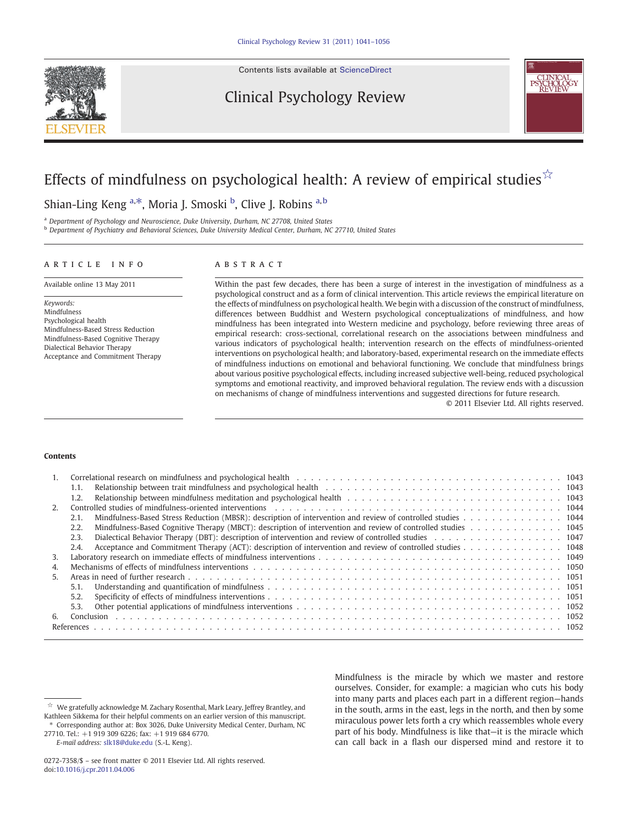

Contents lists available at [ScienceDirect](http://www.sciencedirect.com/science/journal/02727358)

## Clinical Psychology Review



# Effects of mindfulness on psychological health: A review of empirical studies  $\hat{\mathbf{x}}$

Shian-Ling Keng <sup>a,\*</sup>, Moria J. Smoski <sup>b</sup>, Clive J. Robins <sup>a, b</sup>

<sup>a</sup> Department of Psychology and Neuroscience, Duke University, Durham, NC 27708, United States

**b** Department of Psychiatry and Behavioral Sciences, Duke University Medical Center, Durham, NC 27710, United States

#### article info abstract

Available online 13 May 2011

Keywords: Mindfulness Psychological health Mindfulness-Based Stress Reduction Mindfulness-Based Cognitive Therapy Dialectical Behavior Therapy Acceptance and Commitment Therapy

Within the past few decades, there has been a surge of interest in the investigation of mindfulness as a psychological construct and as a form of clinical intervention. This article reviews the empirical literature on the effects of mindfulness on psychological health. We begin with a discussion of the construct of mindfulness, differences between Buddhist and Western psychological conceptualizations of mindfulness, and how mindfulness has been integrated into Western medicine and psychology, before reviewing three areas of empirical research: cross-sectional, correlational research on the associations between mindfulness and various indicators of psychological health; intervention research on the effects of mindfulness-oriented interventions on psychological health; and laboratory-based, experimental research on the immediate effects of mindfulness inductions on emotional and behavioral functioning. We conclude that mindfulness brings about various positive psychological effects, including increased subjective well-being, reduced psychological symptoms and emotional reactivity, and improved behavioral regulation. The review ends with a discussion on mechanisms of change of mindfulness interventions and suggested directions for future research.

© 2011 Elsevier Ltd. All rights reserved.

#### **Contents**

| 2.               | 1.1.<br>1.2.<br>Mindfulness-Based Stress Reduction (MBSR): description of intervention and review of controlled studies 1044<br>2.1.<br>Mindfulness-Based Cognitive Therapy (MBCT): description of intervention and review of controlled studies 1045<br>2.2.<br>Dialectical Behavior Therapy (DBT): description of intervention and review of controlled studies 1047<br>2.3. |  |  |  |  |  |  |  |  |  |  |
|------------------|--------------------------------------------------------------------------------------------------------------------------------------------------------------------------------------------------------------------------------------------------------------------------------------------------------------------------------------------------------------------------------|--|--|--|--|--|--|--|--|--|--|
|                  | Acceptance and Commitment Therapy (ACT): description of intervention and review of controlled studies 1048<br>2.4.                                                                                                                                                                                                                                                             |  |  |  |  |  |  |  |  |  |  |
| 3.               |                                                                                                                                                                                                                                                                                                                                                                                |  |  |  |  |  |  |  |  |  |  |
| $\overline{4}$ . |                                                                                                                                                                                                                                                                                                                                                                                |  |  |  |  |  |  |  |  |  |  |
| 5.               |                                                                                                                                                                                                                                                                                                                                                                                |  |  |  |  |  |  |  |  |  |  |
|                  | 5.1.                                                                                                                                                                                                                                                                                                                                                                           |  |  |  |  |  |  |  |  |  |  |
|                  | 5.2.                                                                                                                                                                                                                                                                                                                                                                           |  |  |  |  |  |  |  |  |  |  |
|                  | 5.3.                                                                                                                                                                                                                                                                                                                                                                           |  |  |  |  |  |  |  |  |  |  |
| 6.               |                                                                                                                                                                                                                                                                                                                                                                                |  |  |  |  |  |  |  |  |  |  |

Mindfulness is the miracle by which we master and restore ourselves. Consider, for example: a magician who cuts his body into many parts and places each part in a different region—hands in the south, arms in the east, legs in the north, and then by some miraculous power lets forth a cry which reassembles whole every part of his body. Mindfulness is like that—it is the miracle which can call back in a flash our dispersed mind and restore it to

 $\overrightarrow{x}$  We gratefully acknowledge M. Zachary Rosenthal, Mark Leary, Jeffrey Brantley, and Kathleen Sikkema for their helpful comments on an earlier version of this manuscript. ⁎ Corresponding author at: Box 3026, Duke University Medical Center, Durham, NC

<sup>27710.</sup> Tel.: +1 919 309 6226; fax: +1 919 684 6770. E-mail address: [slk18@duke.edu](mailto:slk18@duke.edu) (S.-L. Keng).

<sup>0272-7358/\$</sup> – see front matter © 2011 Elsevier Ltd. All rights reserved. doi:[10.1016/j.cpr.2011.04.006](http://dx.doi.org/10.1016/j.cpr.2011.04.006)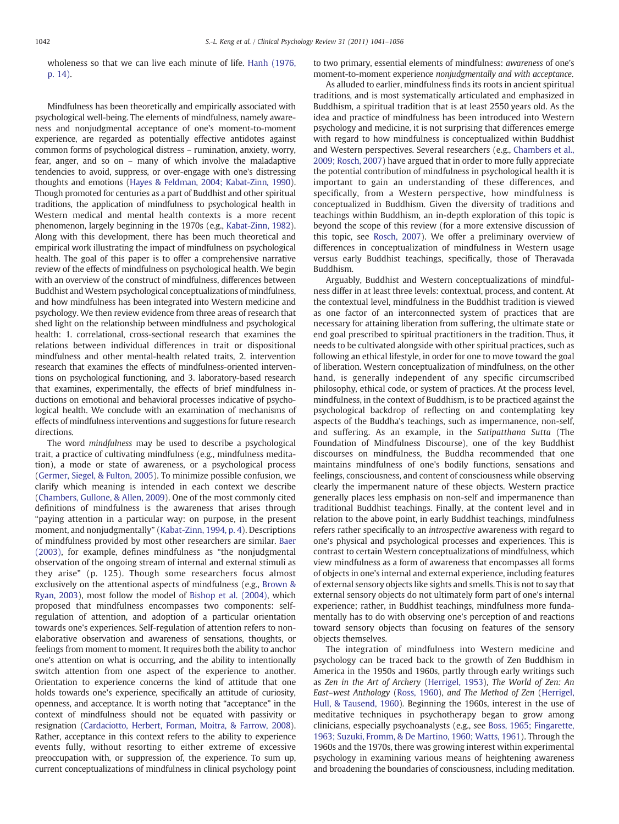wholeness so that we can live each minute of life. [Hanh \(1976,](#page-13-0) [p. 14\)](#page-13-0).

Mindfulness has been theoretically and empirically associated with psychological well-being. The elements of mindfulness, namely awareness and nonjudgmental acceptance of one's moment-to-moment experience, are regarded as potentially effective antidotes against common forms of psychological distress – rumination, anxiety, worry, fear, anger, and so on – many of which involve the maladaptive tendencies to avoid, suppress, or over-engage with one's distressing thoughts and emotions ([Hayes & Feldman, 2004; Kabat-Zinn, 1990\)](#page-13-0). Though promoted for centuries as a part of Buddhist and other spiritual traditions, the application of mindfulness to psychological health in Western medical and mental health contexts is a more recent phenomenon, largely beginning in the 1970s (e.g., [Kabat-Zinn, 1982\)](#page-13-0). Along with this development, there has been much theoretical and empirical work illustrating the impact of mindfulness on psychological health. The goal of this paper is to offer a comprehensive narrative review of the effects of mindfulness on psychological health. We begin with an overview of the construct of mindfulness, differences between Buddhist and Western psychological conceptualizations of mindfulness, and how mindfulness has been integrated into Western medicine and psychology. We then review evidence from three areas of research that shed light on the relationship between mindfulness and psychological health: 1. correlational, cross-sectional research that examines the relations between individual differences in trait or dispositional mindfulness and other mental-health related traits, 2. intervention research that examines the effects of mindfulness-oriented interventions on psychological functioning, and 3. laboratory-based research that examines, experimentally, the effects of brief mindfulness inductions on emotional and behavioral processes indicative of psychological health. We conclude with an examination of mechanisms of effects of mindfulness interventions and suggestions for future research directions.

The word mindfulness may be used to describe a psychological trait, a practice of cultivating mindfulness (e.g., mindfulness meditation), a mode or state of awareness, or a psychological process [\(Germer, Siegel, & Fulton, 2005\)](#page-12-0). To minimize possible confusion, we clarify which meaning is intended in each context we describe [\(Chambers, Gullone, & Allen, 2009](#page-12-0)). One of the most commonly cited definitions of mindfulness is the awareness that arises through "paying attention in a particular way: on purpose, in the present moment, and nonjudgmentally" [\(Kabat-Zinn, 1994, p. 4\)](#page-13-0). Descriptions of mindfulness provided by most other researchers are similar. [Baer](#page-11-0) [\(2003\),](#page-11-0) for example, defines mindfulness as "the nonjudgmental observation of the ongoing stream of internal and external stimuli as they arise" (p. 125). Though some researchers focus almost exclusively on the attentional aspects of mindfulness (e.g., [Brown &](#page-12-0) [Ryan, 2003](#page-12-0)), most follow the model of [Bishop et al. \(2004\)](#page-12-0), which proposed that mindfulness encompasses two components: selfregulation of attention, and adoption of a particular orientation towards one's experiences. Self-regulation of attention refers to nonelaborative observation and awareness of sensations, thoughts, or feelings from moment to moment. It requires both the ability to anchor one's attention on what is occurring, and the ability to intentionally switch attention from one aspect of the experience to another. Orientation to experience concerns the kind of attitude that one holds towards one's experience, specifically an attitude of curiosity, openness, and acceptance. It is worth noting that "acceptance" in the context of mindfulness should not be equated with passivity or resignation ([Cardaciotto, Herbert, Forman, Moitra, & Farrow, 2008\)](#page-12-0). Rather, acceptance in this context refers to the ability to experience events fully, without resorting to either extreme of excessive preoccupation with, or suppression of, the experience. To sum up, current conceptualizations of mindfulness in clinical psychology point to two primary, essential elements of mindfulness: awareness of one's moment-to-moment experience nonjudgmentally and with acceptance.

As alluded to earlier, mindfulness finds its roots in ancient spiritual traditions, and is most systematically articulated and emphasized in Buddhism, a spiritual tradition that is at least 2550 years old. As the idea and practice of mindfulness has been introduced into Western psychology and medicine, it is not surprising that differences emerge with regard to how mindfulness is conceptualized within Buddhist and Western perspectives. Several researchers (e.g., [Chambers et al.,](#page-12-0) [2009; Rosch, 2007\)](#page-12-0) have argued that in order to more fully appreciate the potential contribution of mindfulness in psychological health it is important to gain an understanding of these differences, and specifically, from a Western perspective, how mindfulness is conceptualized in Buddhism. Given the diversity of traditions and teachings within Buddhism, an in-depth exploration of this topic is beyond the scope of this review (for a more extensive discussion of this topic, see [Rosch, 2007](#page-14-0)). We offer a preliminary overview of differences in conceptualization of mindfulness in Western usage versus early Buddhist teachings, specifically, those of Theravada Buddhism.

Arguably, Buddhist and Western conceptualizations of mindfulness differ in at least three levels: contextual, process, and content. At the contextual level, mindfulness in the Buddhist tradition is viewed as one factor of an interconnected system of practices that are necessary for attaining liberation from suffering, the ultimate state or end goal prescribed to spiritual practitioners in the tradition. Thus, it needs to be cultivated alongside with other spiritual practices, such as following an ethical lifestyle, in order for one to move toward the goal of liberation. Western conceptualization of mindfulness, on the other hand, is generally independent of any specific circumscribed philosophy, ethical code, or system of practices. At the process level, mindfulness, in the context of Buddhism, is to be practiced against the psychological backdrop of reflecting on and contemplating key aspects of the Buddha's teachings, such as impermanence, non-self, and suffering. As an example, in the Satipatthana Sutta (The Foundation of Mindfulness Discourse), one of the key Buddhist discourses on mindfulness, the Buddha recommended that one maintains mindfulness of one's bodily functions, sensations and feelings, consciousness, and content of consciousness while observing clearly the impermanent nature of these objects. Western practice generally places less emphasis on non-self and impermanence than traditional Buddhist teachings. Finally, at the content level and in relation to the above point, in early Buddhist teachings, mindfulness refers rather specifically to an introspective awareness with regard to one's physical and psychological processes and experiences. This is contrast to certain Western conceptualizations of mindfulness, which view mindfulness as a form of awareness that encompasses all forms of objects in one's internal and external experience, including features of external sensory objects like sights and smells. This is not to say that external sensory objects do not ultimately form part of one's internal experience; rather, in Buddhist teachings, mindfulness more fundamentally has to do with observing one's perception of and reactions toward sensory objects than focusing on features of the sensory objects themselves.

The integration of mindfulness into Western medicine and psychology can be traced back to the growth of Zen Buddhism in America in the 1950s and 1960s, partly through early writings such as Zen in the Art of Archery ([Herrigel, 1953](#page-13-0)), The World of Zen: An East–west Anthology [\(Ross, 1960\)](#page-14-0), and The Method of Zen [\(Herrigel,](#page-13-0) [Hull, & Tausend, 1960](#page-13-0)). Beginning the 1960s, interest in the use of meditative techniques in psychotherapy began to grow among clinicians, especially psychoanalysts (e.g., see [Boss, 1965; Fingarette,](#page-12-0) [1963; Suzuki, Fromm, & De Martino, 1960; Watts, 1961](#page-12-0)). Through the 1960s and the 1970s, there was growing interest within experimental psychology in examining various means of heightening awareness and broadening the boundaries of consciousness, including meditation.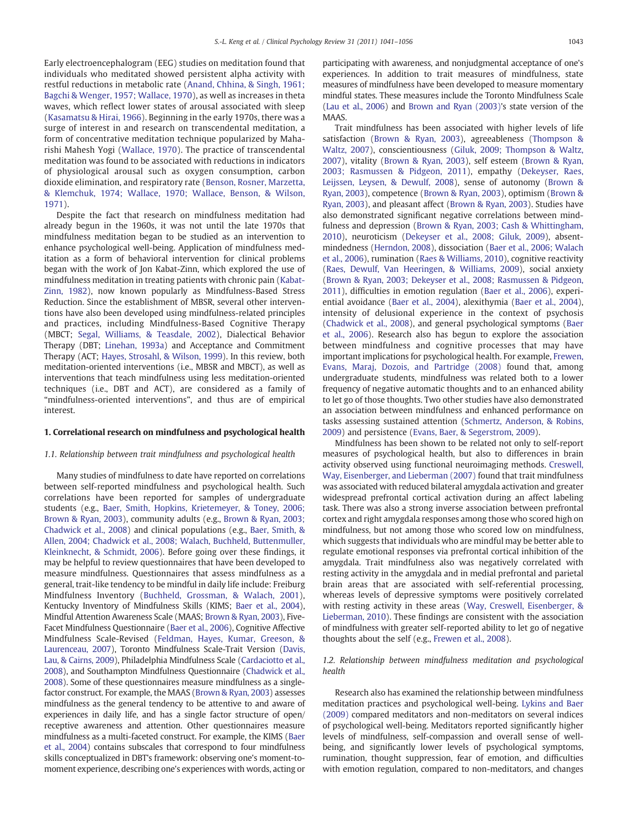Early electroencephalogram (EEG) studies on meditation found that individuals who meditated showed persistent alpha activity with restful reductions in metabolic rate [\(Anand, Chhina, & Singh, 1961;](#page-11-0) [Bagchi & Wenger, 1957; Wallace, 1970\)](#page-11-0), as well as increases in theta waves, which reflect lower states of arousal associated with sleep [\(Kasamatsu & Hirai, 1966](#page-13-0)). Beginning in the early 1970s, there was a surge of interest in and research on transcendental meditation, a form of concentrative meditation technique popularized by Maharishi Mahesh Yogi [\(Wallace, 1970](#page-14-0)). The practice of transcendental meditation was found to be associated with reductions in indicators of physiological arousal such as oxygen consumption, carbon dioxide elimination, and respiratory rate ([Benson, Rosner, Marzetta,](#page-12-0) [& Klemchuk, 1974; Wallace, 1970; Wallace, Benson, & Wilson,](#page-12-0) [1971](#page-12-0)).

Despite the fact that research on mindfulness meditation had already begun in the 1960s, it was not until the late 1970s that mindfulness meditation began to be studied as an intervention to enhance psychological well-being. Application of mindfulness meditation as a form of behavioral intervention for clinical problems began with the work of Jon Kabat-Zinn, which explored the use of mindfulness meditation in treating patients with chronic pain ([Kabat-](#page-13-0)[Zinn, 1982\)](#page-13-0), now known popularly as Mindfulness-Based Stress Reduction. Since the establishment of MBSR, several other interventions have also been developed using mindfulness-related principles and practices, including Mindfulness-Based Cognitive Therapy (MBCT; [Segal, Williams, & Teasdale, 2002](#page-14-0)), Dialectical Behavior Therapy (DBT; [Linehan, 1993a\)](#page-13-0) and Acceptance and Commitment Therapy (ACT; [Hayes, Strosahl, & Wilson, 1999](#page-13-0)). In this review, both meditation-oriented interventions (i.e., MBSR and MBCT), as well as interventions that teach mindfulness using less meditation-oriented techniques (i.e., DBT and ACT), are considered as a family of "mindfulness-oriented interventions", and thus are of empirical interest.

#### 1. Correlational research on mindfulness and psychological health

### 1.1. Relationship between trait mindfulness and psychological health

Many studies of mindfulness to date have reported on correlations between self-reported mindfulness and psychological health. Such correlations have been reported for samples of undergraduate students (e.g., [Baer, Smith, Hopkins, Krietemeyer, & Toney, 2006;](#page-11-0) [Brown & Ryan, 2003\)](#page-11-0), community adults (e.g., [Brown & Ryan, 2003;](#page-12-0) [Chadwick et al., 2008](#page-12-0)) and clinical populations (e.g., [Baer, Smith, &](#page-11-0) [Allen, 2004; Chadwick et al., 2008; Walach, Buchheld, Buttenmuller,](#page-11-0) [Kleinknecht, & Schmidt, 2006](#page-11-0)). Before going over these findings, it may be helpful to review questionnaires that have been developed to measure mindfulness. Questionnaires that assess mindfulness as a general, trait-like tendency to be mindful in daily life include: Freiburg Mindfulness Inventory [\(Buchheld, Grossman, & Walach, 2001](#page-12-0)), Kentucky Inventory of Mindfulness Skills (KIMS; [Baer et al., 2004](#page-11-0)), Mindful Attention Awareness Scale (MAAS; [Brown & Ryan, 2003](#page-12-0)), Five-Facet Mindfulness Questionnaire ([Baer et al., 2006\)](#page-11-0), Cognitive Affective Mindfulness Scale-Revised ([Feldman, Hayes, Kumar, Greeson, &](#page-12-0) [Laurenceau, 2007\)](#page-12-0), Toronto Mindfulness Scale-Trait Version [\(Davis,](#page-12-0) [Lau, & Cairns, 2009\)](#page-12-0), Philadelphia Mindfulness Scale [\(Cardaciotto et al.,](#page-12-0) [2008](#page-12-0)), and Southampton Mindfulness Questionnaire [\(Chadwick et al.,](#page-12-0) [2008](#page-12-0)). Some of these questionnaires measure mindfulness as a singlefactor construct. For example, the MAAS [\(Brown & Ryan, 2003](#page-12-0)) assesses mindfulness as the general tendency to be attentive to and aware of experiences in daily life, and has a single factor structure of open/ receptive awareness and attention. Other questionnaires measure mindfulness as a multi-faceted construct. For example, the KIMS ([Baer](#page-11-0) [et al., 2004\)](#page-11-0) contains subscales that correspond to four mindfulness skills conceptualized in DBT's framework: observing one's moment-tomoment experience, describing one's experiences with words, acting or

participating with awareness, and nonjudgmental acceptance of one's experiences. In addition to trait measures of mindfulness, state measures of mindfulness have been developed to measure momentary mindful states. These measures include the Toronto Mindfulness Scale [\(Lau et al., 2006](#page-13-0)) and [Brown and Ryan \(2003\)](#page-12-0)'s state version of the MAAS.

Trait mindfulness has been associated with higher levels of life satisfaction [\(Brown & Ryan, 2003\)](#page-12-0), agreeableness ([Thompson &](#page-14-0) [Waltz, 2007\)](#page-14-0), conscientiousness [\(Giluk, 2009; Thompson & Waltz,](#page-12-0) [2007\)](#page-12-0), vitality ([Brown & Ryan, 2003\)](#page-12-0), self esteem [\(Brown & Ryan,](#page-12-0) [2003; Rasmussen & Pidgeon, 2011](#page-12-0)), empathy ([Dekeyser, Raes,](#page-12-0) [Leijssen, Leysen, & Dewulf, 2008\)](#page-12-0), sense of autonomy ([Brown &](#page-12-0) [Ryan, 2003\)](#page-12-0), competence ([Brown & Ryan, 2003](#page-12-0)), optimism ([Brown &](#page-12-0) [Ryan, 2003\)](#page-12-0), and pleasant affect [\(Brown & Ryan, 2003\)](#page-12-0). Studies have also demonstrated significant negative correlations between mindfulness and depression [\(Brown & Ryan, 2003; Cash & Whittingham,](#page-12-0) [2010\)](#page-12-0), neuroticism [\(Dekeyser et al., 2008; Giluk, 2009](#page-12-0)), absentmindedness [\(Herndon, 2008\)](#page-13-0), dissociation [\(Baer et al., 2006; Walach](#page-11-0) [et al., 2006\)](#page-11-0), rumination ([Raes & Williams, 2010\)](#page-14-0), cognitive reactivity [\(Raes, Dewulf, Van Heeringen, & Williams, 2009\)](#page-14-0), social anxiety [\(Brown & Ryan, 2003; Dekeyser et al., 2008; Rasmussen & Pidgeon,](#page-12-0) [2011\)](#page-12-0), difficulties in emotion regulation [\(Baer et al., 2006\)](#page-11-0), experiential avoidance [\(Baer et al., 2004\)](#page-11-0), alexithymia ([Baer et al., 2004](#page-11-0)), intensity of delusional experience in the context of psychosis [\(Chadwick et al., 2008\)](#page-12-0), and general psychological symptoms [\(Baer](#page-11-0) [et al., 2006](#page-11-0)). Research also has begun to explore the association between mindfulness and cognitive processes that may have important implications for psychological health. For example, [Frewen,](#page-12-0) [Evans, Maraj, Dozois, and Partridge \(2008\)](#page-12-0) found that, among undergraduate students, mindfulness was related both to a lower frequency of negative automatic thoughts and to an enhanced ability to let go of those thoughts. Two other studies have also demonstrated an association between mindfulness and enhanced performance on tasks assessing sustained attention [\(Schmertz, Anderson, & Robins,](#page-14-0) [2009\)](#page-14-0) and persistence ([Evans, Baer, & Segerstrom, 2009\)](#page-12-0).

Mindfulness has been shown to be related not only to self-report measures of psychological health, but also to differences in brain activity observed using functional neuroimaging methods. [Creswell,](#page-12-0) [Way, Eisenberger, and Lieberman \(2007\)](#page-12-0) found that trait mindfulness was associated with reduced bilateral amygdala activation and greater widespread prefrontal cortical activation during an affect labeling task. There was also a strong inverse association between prefrontal cortex and right amygdala responses among those who scored high on mindfulness, but not among those who scored low on mindfulness, which suggests that individuals who are mindful may be better able to regulate emotional responses via prefrontal cortical inhibition of the amygdala. Trait mindfulness also was negatively correlated with resting activity in the amygdala and in medial prefrontal and parietal brain areas that are associated with self-referential processing, whereas levels of depressive symptoms were positively correlated with resting activity in these areas ([Way, Creswell, Eisenberger, &](#page-14-0) [Lieberman, 2010](#page-14-0)). These findings are consistent with the association of mindfulness with greater self-reported ability to let go of negative thoughts about the self (e.g., [Frewen et al., 2008\)](#page-12-0).

#### 1.2. Relationship between mindfulness meditation and psychological health

Research also has examined the relationship between mindfulness meditation practices and psychological well-being. [Lykins and Baer](#page-13-0) [\(2009\)](#page-13-0) compared meditators and non-meditators on several indices of psychological well-being. Meditators reported significantly higher levels of mindfulness, self-compassion and overall sense of wellbeing, and significantly lower levels of psychological symptoms, rumination, thought suppression, fear of emotion, and difficulties with emotion regulation, compared to non-meditators, and changes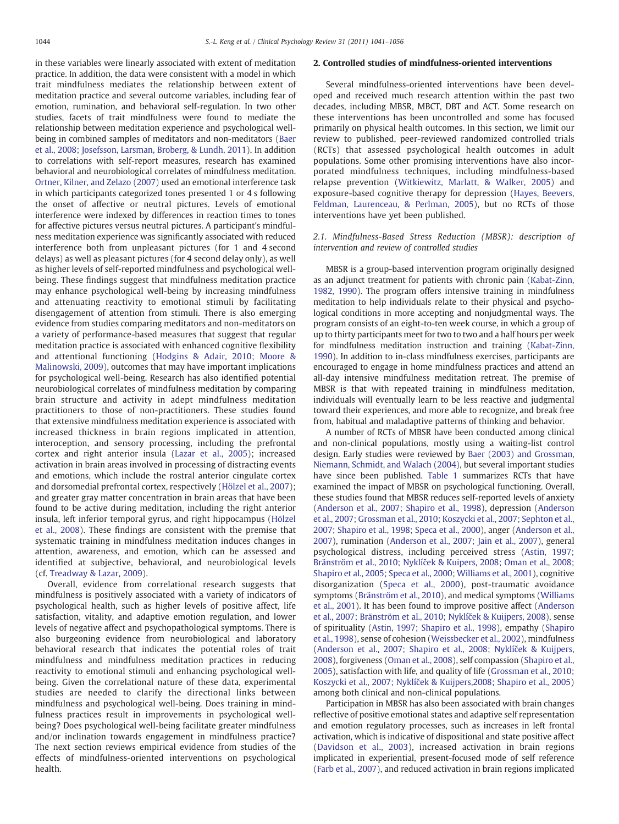in these variables were linearly associated with extent of meditation practice. In addition, the data were consistent with a model in which trait mindfulness mediates the relationship between extent of meditation practice and several outcome variables, including fear of emotion, rumination, and behavioral self-regulation. In two other studies, facets of trait mindfulness were found to mediate the relationship between meditation experience and psychological wellbeing in combined samples of meditators and non-meditators ([Baer](#page-11-0) [et al., 2008; Josefsson, Larsman, Broberg, & Lundh, 2011](#page-11-0)). In addition to correlations with self-report measures, research has examined behavioral and neurobiological correlates of mindfulness meditation. [Ortner, Kilner, and Zelazo \(2007\)](#page-14-0) used an emotional interference task in which participants categorized tones presented 1 or 4 s following the onset of affective or neutral pictures. Levels of emotional interference were indexed by differences in reaction times to tones for affective pictures versus neutral pictures. A participant's mindfulness meditation experience was significantly associated with reduced interference both from unpleasant pictures (for 1 and 4 second delays) as well as pleasant pictures (for 4 second delay only), as well as higher levels of self-reported mindfulness and psychological wellbeing. These findings suggest that mindfulness meditation practice may enhance psychological well-being by increasing mindfulness and attenuating reactivity to emotional stimuli by facilitating disengagement of attention from stimuli. There is also emerging evidence from studies comparing meditators and non-meditators on a variety of performance-based measures that suggest that regular meditation practice is associated with enhanced cognitive flexibility and attentional functioning [\(Hodgins & Adair, 2010; Moore &](#page-13-0) [Malinowski, 2009](#page-13-0)), outcomes that may have important implications for psychological well-being. Research has also identified potential neurobiological correlates of mindfulness meditation by comparing brain structure and activity in adept mindfulness meditation practitioners to those of non-practitioners. These studies found that extensive mindfulness meditation experience is associated with increased thickness in brain regions implicated in attention, interoception, and sensory processing, including the prefrontal cortex and right anterior insula [\(Lazar et al., 2005](#page-13-0)); increased activation in brain areas involved in processing of distracting events and emotions, which include the rostral anterior cingulate cortex and dorsomedial prefrontal cortex, respectively ([Hölzel et al., 2007](#page-13-0)); and greater gray matter concentration in brain areas that have been found to be active during meditation, including the right anterior insula, left inferior temporal gyrus, and right hippocampus [\(Hölzel](#page-13-0) [et al., 2008\)](#page-13-0). These findings are consistent with the premise that systematic training in mindfulness meditation induces changes in attention, awareness, and emotion, which can be assessed and identified at subjective, behavioral, and neurobiological levels (cf. [Treadway & Lazar, 2009](#page-14-0)).

Overall, evidence from correlational research suggests that mindfulness is positively associated with a variety of indicators of psychological health, such as higher levels of positive affect, life satisfaction, vitality, and adaptive emotion regulation, and lower levels of negative affect and psychopathological symptoms. There is also burgeoning evidence from neurobiological and laboratory behavioral research that indicates the potential roles of trait mindfulness and mindfulness meditation practices in reducing reactivity to emotional stimuli and enhancing psychological wellbeing. Given the correlational nature of these data, experimental studies are needed to clarify the directional links between mindfulness and psychological well-being. Does training in mindfulness practices result in improvements in psychological wellbeing? Does psychological well-being facilitate greater mindfulness and/or inclination towards engagement in mindfulness practice? The next section reviews empirical evidence from studies of the effects of mindfulness-oriented interventions on psychological health.

#### 2. Controlled studies of mindfulness-oriented interventions

Several mindfulness-oriented interventions have been developed and received much research attention within the past two decades, including MBSR, MBCT, DBT and ACT. Some research on these interventions has been uncontrolled and some has focused primarily on physical health outcomes. In this section, we limit our review to published, peer-reviewed randomized controlled trials (RCTs) that assessed psychological health outcomes in adult populations. Some other promising interventions have also incorporated mindfulness techniques, including mindfulness-based relapse prevention [\(Witkiewitz, Marlatt, & Walker, 2005](#page-15-0)) and exposure-based cognitive therapy for depression ([Hayes, Beevers,](#page-13-0) [Feldman, Laurenceau, & Perlman, 2005](#page-13-0)), but no RCTs of those interventions have yet been published.

2.1. Mindfulness-Based Stress Reduction (MBSR): description of intervention and review of controlled studies

MBSR is a group-based intervention program originally designed as an adjunct treatment for patients with chronic pain ([Kabat-Zinn,](#page-13-0) [1982, 1990\)](#page-13-0). The program offers intensive training in mindfulness meditation to help individuals relate to their physical and psychological conditions in more accepting and nonjudgmental ways. The program consists of an eight-to-ten week course, in which a group of up to thirty participants meet for two to two and a half hours per week for mindfulness meditation instruction and training ([Kabat-Zinn,](#page-13-0) [1990\)](#page-13-0). In addition to in-class mindfulness exercises, participants are encouraged to engage in home mindfulness practices and attend an all-day intensive mindfulness meditation retreat. The premise of MBSR is that with repeated training in mindfulness meditation, individuals will eventually learn to be less reactive and judgmental toward their experiences, and more able to recognize, and break free from, habitual and maladaptive patterns of thinking and behavior.

A number of RCTs of MBSR have been conducted among clinical and non-clinical populations, mostly using a waiting-list control design. Early studies were reviewed by [Baer \(2003\) and Grossman,](#page-11-0) [Niemann, Schmidt, and Walach \(2004\),](#page-11-0) but several important studies have since been published. [Table 1](#page-4-0) summarizes RCTs that have examined the impact of MBSR on psychological functioning. Overall, these studies found that MBSR reduces self-reported levels of anxiety [\(Anderson et al., 2007; Shapiro et al., 1998](#page-11-0)), depression ([Anderson](#page-11-0) [et al., 2007; Grossman et al., 2010; Koszycki et al., 2007; Sephton et al.,](#page-11-0) [2007; Shapiro et al., 1998; Speca et al., 2000](#page-11-0)), anger [\(Anderson et al.,](#page-11-0) [2007\)](#page-11-0), rumination [\(Anderson et al., 2007; Jain et al., 2007\)](#page-11-0), general psychological distress, including perceived stress ([Astin, 1997;](#page-11-0) Bränström et al., 2010; Nyklíč[ek & Kuipers, 2008; Oman et al., 2008;](#page-11-0) [Shapiro et al., 2005; Speca et al., 2000; Williams et al., 2001\)](#page-11-0), cognitive disorganization ([Speca et al., 2000\)](#page-14-0), post-traumatic avoidance symptoms [\(Bränström et al., 2010](#page-12-0)), and medical symptoms [\(Williams](#page-14-0) [et al., 2001](#page-14-0)). It has been found to improve positive affect ([Anderson](#page-11-0) [et al., 2007; Bränström et al., 2010; Nyklí](#page-11-0)ček & Kuijpers, 2008), sense of spirituality [\(Astin, 1997; Shapiro et al., 1998\)](#page-11-0), empathy [\(Shapiro](#page-14-0) [et al., 1998](#page-14-0)), sense of cohesion [\(Weissbecker et al., 2002](#page-14-0)), mindfulness [\(Anderson et al., 2007; Shapiro et al., 2008; Nyklí](#page-11-0)ček & Kuijpers, [2008\)](#page-11-0), forgiveness [\(Oman et al., 2008](#page-14-0)), self compassion ([Shapiro et al.,](#page-14-0) [2005\)](#page-14-0), satisfaction with life, and quality of life ([Grossman et al., 2010;](#page-12-0) Koszycki et al., 2007; Nyklíč[ek & Kuijpers,2008; Shapiro et al., 2005](#page-12-0)) among both clinical and non-clinical populations.

Participation in MBSR has also been associated with brain changes reflective of positive emotional states and adaptive self representation and emotion regulatory processes, such as increases in left frontal activation, which is indicative of dispositional and state positive affect [\(Davidson et al., 2003\)](#page-12-0), increased activation in brain regions implicated in experiential, present-focused mode of self reference [\(Farb et al., 2007\)](#page-12-0), and reduced activation in brain regions implicated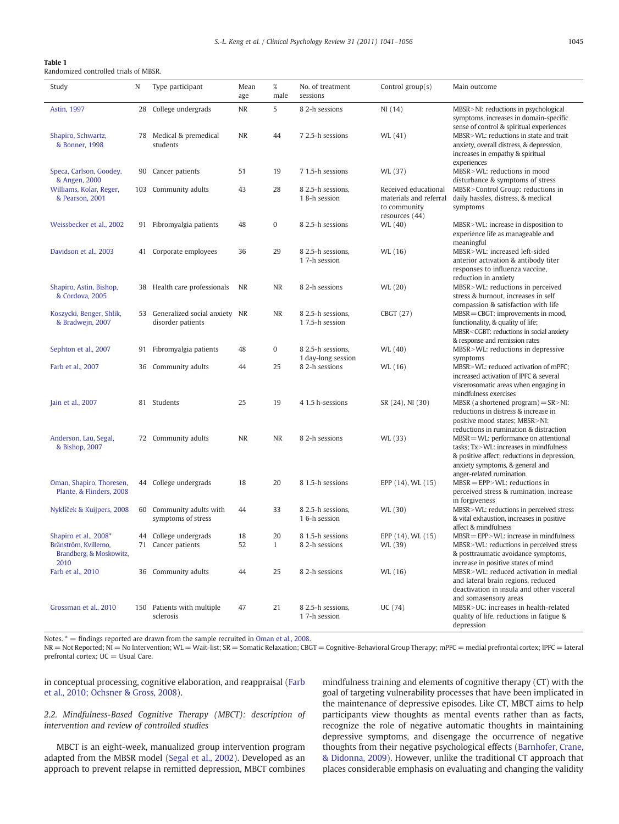#### <span id="page-4-0"></span>Table 1

Randomized controlled trials of MBSR.

| Study                                                                            | N   | Type participant                                      | Mean<br>age | $\%$<br>male       | No. of treatment<br>sessions            | Control group(s)                                                                 | Main outcome                                                                                                                                                                                      |
|----------------------------------------------------------------------------------|-----|-------------------------------------------------------|-------------|--------------------|-----------------------------------------|----------------------------------------------------------------------------------|---------------------------------------------------------------------------------------------------------------------------------------------------------------------------------------------------|
| Astin, 1997                                                                      |     | 28 College undergrads                                 | <b>NR</b>   | 5                  | 8 2-h sessions                          | NI(14)                                                                           | MBSR>NI: reductions in psychological<br>symptoms, increases in domain-specific                                                                                                                    |
| Shapiro, Schwartz,<br>& Bonner, 1998                                             |     | 78 Medical & premedical<br>students                   | <b>NR</b>   | 44                 | 7 2.5-h sessions                        | WL (41)                                                                          | sense of control & spiritual experiences<br>MBSR>WL: reductions in state and trait<br>anxiety, overall distress, & depression,<br>increases in empathy & spiritual<br>experiences                 |
| Speca, Carlson, Goodey,<br>& Angen, 2000                                         | 90  | Cancer patients                                       | 51          | 19                 | 7 1.5-h sessions                        | WL (37)                                                                          | MBSR>WL: reductions in mood<br>disturbance & symptoms of stress                                                                                                                                   |
| Williams, Kolar, Reger,<br>& Pearson, 2001                                       | 103 | Community adults                                      | 43          | 28                 | 8 2.5-h sessions,<br>18-h session       | Received educational<br>materials and referral<br>to community<br>resources (44) | MBSR>Control Group: reductions in<br>daily hassles, distress, & medical<br>symptoms                                                                                                               |
| Weissbecker et al., 2002                                                         |     | 91 Fibromyalgia patients                              | 48          | 0                  | 8 2.5-h sessions                        | WL (40)                                                                          | MBSR>WL: increase in disposition to<br>experience life as manageable and<br>meaningful                                                                                                            |
| Davidson et al., 2003                                                            |     | 41 Corporate employees                                | 36          | 29                 | 8 2.5-h sessions,<br>17-h session       | WL (16)                                                                          | MBSR>WL: increased left-sided<br>anterior activation & antibody titer<br>responses to influenza vaccine,<br>reduction in anxiety                                                                  |
| Shapiro, Astin, Bishop,<br>& Cordova, 2005                                       |     | 38 Health care professionals                          | NR          | <b>NR</b>          | 8 2-h sessions                          | WL (20)                                                                          | MBSR>WL: reductions in perceived<br>stress & burnout, increases in self<br>compassion & satisfaction with life                                                                                    |
| Koszycki, Benger, Shlik,<br>& Bradwejn, 2007                                     |     | 53 Generalized social anxiety NR<br>disorder patients |             | NR                 | 8 2.5-h sessions,<br>17.5-h session     | CBGT (27)                                                                        | $MBSR = CBGT$ : improvements in mood,<br>functionality, & quality of life;<br>MBSR <cgbt: anxiety<br="" in="" reductions="" social="">&amp; response and remission rates</cgbt:>                  |
| Sephton et al., 2007                                                             |     | 91 Fibromyalgia patients                              | 48          | 0                  | 8 2.5-h sessions,<br>1 day-long session | WL (40)                                                                          | MBSR>WL: reductions in depressive<br>symptoms                                                                                                                                                     |
| Farb et al., 2007                                                                | 36  | Community adults                                      | 44          | 25                 | 8 2-h sessions                          | WL (16)                                                                          | MBSR>WL: reduced activation of mPFC;<br>increased activation of IPFC & several<br>viscerosomatic areas when engaging in<br>mindfulness exercises                                                  |
| Jain et al., 2007                                                                |     | 81 Students                                           | 25          | 19                 | 4 1.5 h-sessions                        | SR (24), NI (30)                                                                 | MBSR (a shortened program) = $SR > NI$ :<br>reductions in distress & increase in<br>positive mood states; MBSR>NI:<br>reductions in rumination & distraction                                      |
| Anderson, Lau, Segal,<br>& Bishop, 2007                                          |     | 72 Community adults                                   | NR          | <b>NR</b>          | 8 2-h sessions                          | WL (33)                                                                          | $MBSR = WL$ : performance on attentional<br>tasks; Tx>WL: increases in mindfulness<br>& positive affect; reductions in depression,<br>anxiety symptoms, & general and<br>anger-related rumination |
| Oman, Shapiro, Thoresen,<br>Plante, & Flinders, 2008                             |     | 44 College undergrads                                 | 18          | 20                 | 8 1.5-h sessions                        | EPP (14), WL (15)                                                                | $MBSR = EPP > WL$ : reductions in<br>perceived stress & rumination, increase<br>in forgiveness                                                                                                    |
| Nyklíček & Kuijpers, 2008                                                        |     | 60 Community adults with<br>symptoms of stress        | 44          | 33                 | 8 2.5-h sessions,<br>16-h session       | WL (30)                                                                          | MBSR>WL: reductions in perceived stress<br>& vital exhaustion, increases in positive<br>affect & mindfulness                                                                                      |
| Shapiro et al., 2008*<br>Bränström, Kvillemo,<br>Brandberg, & Moskowitz,<br>2010 |     | 44 College undergrads<br>71 Cancer patients           | 18<br>52    | 20<br>$\mathbf{1}$ | 8 1.5-h sessions<br>8 2-h sessions      | EPP (14), WL (15)<br>WL (39)                                                     | $MBSR = EPP > WL$ : increase in mindfulness<br>MBSR>WL: reductions in perceived stress<br>& posttraumatic avoidance symptoms,<br>increase in positive states of mind                              |
| Farb et al., 2010                                                                |     | 36 Community adults                                   | 44          | 25                 | 8 2-h sessions                          | WL (16)                                                                          | MBSR>WL: reduced activation in medial<br>and lateral brain regions, reduced<br>deactivation in insula and other visceral<br>and somasensory areas                                                 |
| Grossman et al., 2010                                                            |     | 150 Patients with multiple<br>sclerosis               | 47          | 21                 | 8 2.5-h sessions,<br>17-h session       | UC (74)                                                                          | MBSR>UC: increases in health-related<br>quality of life, reductions in fatigue &<br>depression                                                                                                    |

Notes.  $* =$  findings reported are drawn from the sample recruited in [Oman et al., 2008.](#page-14-0)

NR = Not Reported; NI = No Intervention; WL = Wait-list; SR = Somatic Relaxation; CBGT = Cognitive-Behavioral Group Therapy; mPFC = medial prefrontal cortex; lPFC = lateral prefrontal cortex;  $UC =$  Usual Care.

in conceptual processing, cognitive elaboration, and reappraisal ([Farb](#page-12-0) [et al., 2010; Ochsner & Gross, 2008](#page-12-0)).

2.2. Mindfulness-Based Cognitive Therapy (MBCT): description of intervention and review of controlled studies

MBCT is an eight-week, manualized group intervention program adapted from the MBSR model ([Segal et al., 2002](#page-14-0)). Developed as an approach to prevent relapse in remitted depression, MBCT combines mindfulness training and elements of cognitive therapy (CT) with the goal of targeting vulnerability processes that have been implicated in the maintenance of depressive episodes. Like CT, MBCT aims to help participants view thoughts as mental events rather than as facts, recognize the role of negative automatic thoughts in maintaining depressive symptoms, and disengage the occurrence of negative thoughts from their negative psychological effects ([Barnhofer, Crane,](#page-11-0) [& Didonna, 2009](#page-11-0)). However, unlike the traditional CT approach that places considerable emphasis on evaluating and changing the validity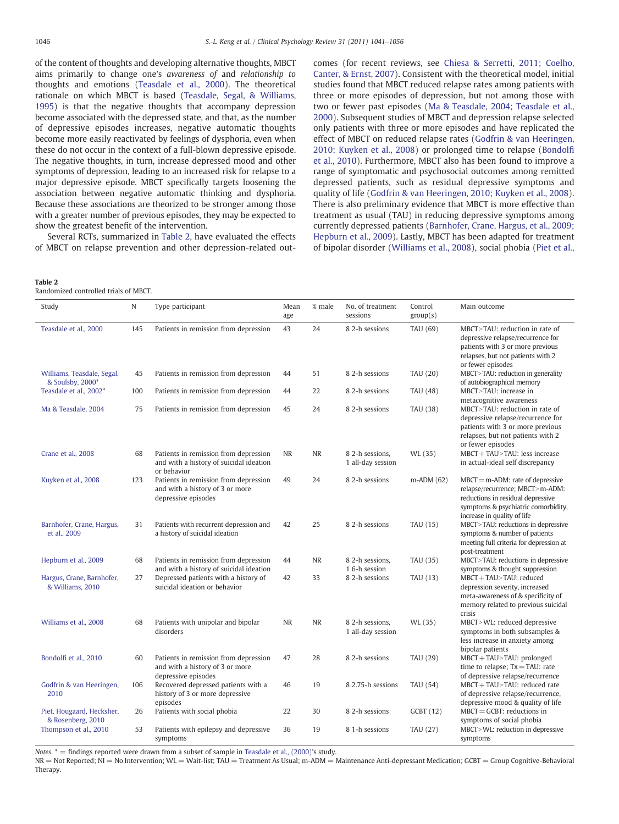of the content of thoughts and developing alternative thoughts, MBCT aims primarily to change one's awareness of and relationship to thoughts and emotions [\(Teasdale et al., 2000](#page-14-0)). The theoretical rationale on which MBCT is based [\(Teasdale, Segal, & Williams,](#page-14-0) [1995\)](#page-14-0) is that the negative thoughts that accompany depression become associated with the depressed state, and that, as the number of depressive episodes increases, negative automatic thoughts become more easily reactivated by feelings of dysphoria, even when these do not occur in the context of a full-blown depressive episode. The negative thoughts, in turn, increase depressed mood and other symptoms of depression, leading to an increased risk for relapse to a major depressive episode. MBCT specifically targets loosening the association between negative automatic thinking and dysphoria. Because these associations are theorized to be stronger among those with a greater number of previous episodes, they may be expected to show the greatest benefit of the intervention.

Several RCTs, summarized in Table 2, have evaluated the effects of MBCT on relapse prevention and other depression-related out-

#### Table 2

Randomized controlled trials of MBCT.

| Study                                          | N   | Type participant                                                                                | Mean<br>age | % male    | No. of treatment<br>sessions         | Control<br>group(s) | Main outcome                                                                                                                                                                      |
|------------------------------------------------|-----|-------------------------------------------------------------------------------------------------|-------------|-----------|--------------------------------------|---------------------|-----------------------------------------------------------------------------------------------------------------------------------------------------------------------------------|
| Teasdale et al., 2000                          | 145 | Patients in remission from depression                                                           | 43          | 24        | 8 2-h sessions                       | TAU (69)            | MBCT>TAU: reduction in rate of<br>depressive relapse/recurrence for<br>patients with 3 or more previous<br>relapses, but not patients with 2<br>or fewer episodes                 |
| Williams, Teasdale, Segal,<br>& Soulsby, 2000* | 45  | Patients in remission from depression                                                           | 44          | 51        | 8 2-h sessions                       | TAU (20)            | MBCT>TAU: reduction in generality<br>of autobiographical memory                                                                                                                   |
| Teasdale et al., 2002*                         | 100 | Patients in remission from depression                                                           | 44          | 22        | 8 2-h sessions                       | TAU (48)            | MBCT>TAU: increase in<br>metacognitive awareness                                                                                                                                  |
| Ma & Teasdale, 2004                            | 75  | Patients in remission from depression                                                           | 45          | 24        | 8 2-h sessions                       | TAU (38)            | MBCT>TAU: reduction in rate of<br>depressive relapse/recurrence for<br>patients with 3 or more previous<br>relapses, but not patients with 2<br>or fewer episodes                 |
| Crane et al., 2008                             | 68  | Patients in remission from depression<br>and with a history of suicidal ideation<br>or behavior | <b>NR</b>   | <b>NR</b> | 8 2-h sessions,<br>1 all-day session | WL (35)             | MBCT + TAU>TAU: less increase<br>in actual-ideal self discrepancy                                                                                                                 |
| Kuyken et al., 2008                            | 123 | Patients in remission from depression<br>and with a history of 3 or more<br>depressive episodes | 49          | 24        | 8 2-h sessions                       | $m$ -ADM $(62)$     | $MBCT = m-ADM$ : rate of depressive<br>relapse/recurrence; MBCT>m-ADM:<br>reductions in residual depressive<br>symptoms & psychiatric comorbidity,<br>increase in quality of life |
| Barnhofer, Crane, Hargus,<br>et al., 2009      | 31  | Patients with recurrent depression and<br>a history of suicidal ideation                        | 42          | 25        | 8 2-h sessions                       | TAU (15)            | MBCT>TAU: reductions in depressive<br>symptoms & number of patients<br>meeting full criteria for depression at<br>post-treatment                                                  |
| Hepburn et al., 2009                           | 68  | Patients in remission from depression<br>and with a history of suicidal ideation                | 44          | <b>NR</b> | 8 2-h sessions.<br>1 6-h session     | TAU (35)            | MBCT>TAU: reductions in depressive<br>symptoms & thought suppression                                                                                                              |
| Hargus, Crane, Barnhofer,<br>& Williams, 2010  | 27  | Depressed patients with a history of<br>suicidal ideation or behavior                           | 42          | 33        | 8 2-h sessions                       | TAU (13)            | MBCT + TAU>TAU; reduced<br>depression severity, increased<br>meta-awareness of & specificity of<br>memory related to previous suicidal<br>crisis                                  |
| Williams et al., 2008                          | 68  | Patients with unipolar and bipolar<br>disorders                                                 | <b>NR</b>   | <b>NR</b> | 8 2-h sessions,<br>1 all-day session | WL (35)             | MBCT>WL: reduced depressive<br>symptoms in both subsamples &<br>less increase in anxiety among<br>bipolar patients                                                                |
| Bondolfi et al., 2010                          | 60  | Patients in remission from depression<br>and with a history of 3 or more<br>depressive episodes | 47          | 28        | 8 2-h sessions                       | TAU (29)            | $MBCT + TAU > TAU$ ; prolonged<br>time to relapse; $Tx = TAU$ : rate<br>of depressive relapse/recurrence                                                                          |
| Godfrin & van Heeringen,<br>2010               | 106 | Recovered depressed patients with a<br>history of 3 or more depressive<br>episodes              | 46          | 19        | 8 2.75-h sessions                    | TAU (54)            | MBCT + TAU>TAU: reduced rate<br>of depressive relapse/recurrence,<br>depressive mood & quality of life                                                                            |
| Piet, Hougaard, Hecksher,<br>& Rosenberg, 2010 | 26  | Patients with social phobia                                                                     | 22          | 30        | 8 2-h sessions                       | <b>GCBT</b> (12)    | $MBCT = GCBT$ : reductions in<br>symptoms of social phobia                                                                                                                        |
| Thompson et al., 2010                          | 53  | Patients with epilepsy and depressive<br>symptoms                                               | 36          | 19        | 8 1-h sessions                       | TAU (27)            | MBCT>WL: reduction in depressive<br>symptoms                                                                                                                                      |

Notes.  $* =$  findings reported were drawn from a subset of sample in [Teasdale et al., \(2000\)](#page-14-0)'s study.

NR = Not Reported; NI = No Intervention; WL = Wait-list; TAU = Treatment As Usual; m-ADM = Maintenance Anti-depressant Medication; GCBT = Group Cognitive-Behavioral Therapy.

comes (for recent reviews, see [Chiesa & Serretti, 2011; Coelho,](#page-12-0) [Canter, & Ernst, 2007\)](#page-12-0). Consistent with the theoretical model, initial studies found that MBCT reduced relapse rates among patients with three or more episodes of depression, but not among those with two or fewer past episodes [\(Ma & Teasdale, 2004; Teasdale et al.,](#page-13-0) [2000](#page-13-0)). Subsequent studies of MBCT and depression relapse selected only patients with three or more episodes and have replicated the effect of MBCT on reduced relapse rates [\(Godfrin & van Heeringen,](#page-12-0) [2010; Kuyken et al., 2008](#page-12-0)) or prolonged time to relapse ([Bondol](#page-12-0)fi [et al., 2010](#page-12-0)). Furthermore, MBCT also has been found to improve a range of symptomatic and psychosocial outcomes among remitted depressed patients, such as residual depressive symptoms and quality of life ([Godfrin & van Heeringen, 2010; Kuyken et al., 2008](#page-12-0)). There is also preliminary evidence that MBCT is more effective than treatment as usual (TAU) in reducing depressive symptoms among currently depressed patients [\(Barnhofer, Crane, Hargus, et al., 2009;](#page-11-0) [Hepburn et al., 2009\)](#page-11-0). Lastly, MBCT has been adapted for treatment of bipolar disorder [\(Williams et al., 2008\)](#page-14-0), social phobia [\(Piet et al.,](#page-14-0)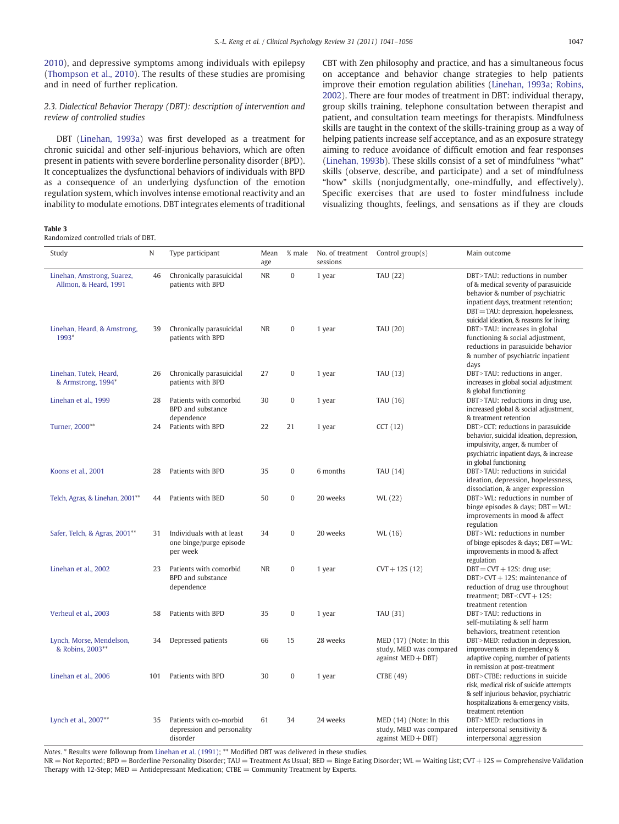<span id="page-6-0"></span>[2010](#page-14-0)), and depressive symptoms among individuals with epilepsy [\(Thompson et al., 2010](#page-14-0)). The results of these studies are promising and in need of further replication.

#### 2.3. Dialectical Behavior Therapy (DBT): description of intervention and review of controlled studies

DBT [\(Linehan, 1993a](#page-13-0)) was first developed as a treatment for chronic suicidal and other self-injurious behaviors, which are often present in patients with severe borderline personality disorder (BPD). It conceptualizes the dysfunctional behaviors of individuals with BPD as a consequence of an underlying dysfunction of the emotion regulation system, which involves intense emotional reactivity and an inability to modulate emotions. DBT integrates elements of traditional

Table 3

Randomized controlled trials of DBT.

CBT with Zen philosophy and practice, and has a simultaneous focus on acceptance and behavior change strategies to help patients improve their emotion regulation abilities [\(Linehan, 1993a; Robins,](#page-13-0) [2002\)](#page-13-0). There are four modes of treatment in DBT: individual therapy, group skills training, telephone consultation between therapist and patient, and consultation team meetings for therapists. Mindfulness skills are taught in the context of the skills-training group as a way of helping patients increase self acceptance, and as an exposure strategy aiming to reduce avoidance of difficult emotion and fear responses [\(Linehan, 1993b](#page-13-0)). These skills consist of a set of mindfulness "what" skills (observe, describe, and participate) and a set of mindfulness "how" skills (nonjudgmentally, one-mindfully, and effectively). Specific exercises that are used to foster mindfulness include visualizing thoughts, feelings, and sensations as if they are clouds

| Study                                               | N   | Type participant                                                  | Mean<br>age | % male           | No. of treatment<br>sessions | Control $group(s)$                                                          | Main outcome                                                                                                                                                                                   |
|-----------------------------------------------------|-----|-------------------------------------------------------------------|-------------|------------------|------------------------------|-----------------------------------------------------------------------------|------------------------------------------------------------------------------------------------------------------------------------------------------------------------------------------------|
| Linehan, Amstrong, Suarez,<br>Allmon, & Heard, 1991 | 46  | Chronically parasuicidal<br>patients with BPD                     | NR          | $\boldsymbol{0}$ | 1 year                       | <b>TAU (22)</b>                                                             | DBT>TAU: reductions in number<br>of & medical severity of parasuicide<br>behavior & number of psychiatric<br>inpatient days, treatment retention;<br>DBT = TAU: depression, hopelessness,      |
| Linehan, Heard, & Amstrong,<br>1993*                | 39  | Chronically parasuicidal<br>patients with BPD                     | <b>NR</b>   | $\bf{0}$         | 1 year                       | <b>TAU (20)</b>                                                             | suicidal ideation, & reasons for living<br>DBT>TAU: increases in global<br>functioning & social adjustment,<br>reductions in parasuicide behavior<br>& number of psychiatric inpatient<br>days |
| Linehan, Tutek, Heard,<br>& Armstrong, 1994*        | 26  | Chronically parasuicidal<br>patients with BPD                     | 27          | $\mathbf{0}$     | 1 year                       | TAU (13)                                                                    | DBT>TAU: reductions in anger,<br>increases in global social adjustment                                                                                                                         |
| Linehan et al., 1999                                | 28  | Patients with comorbid<br>BPD and substance                       | 30          | $\mathbf{0}$     | 1 year                       | <b>TAU</b> (16)                                                             | & global functioning<br>DBT>TAU: reductions in drug use,<br>increased global & social adjustment,                                                                                              |
| Turner, 2000**                                      | 24  | dependence<br>Patients with BPD                                   | 22          | 21               | 1 year                       | CCT(12)                                                                     | & treatment retention<br>DBT>CCT: reductions in parasuicide<br>behavior, suicidal ideation, depression,<br>impulsivity, anger, & number of<br>psychiatric inpatient days, & increase           |
| Koons et al., 2001                                  | 28  | Patients with BPD                                                 | 35          | $\bf{0}$         | 6 months                     | TAU (14)                                                                    | in global functioning<br>DBT>TAU: reductions in suicidal<br>ideation, depression, hopelessness,                                                                                                |
| Telch, Agras, & Linehan, 2001 <sup>**</sup>         | 44  | Patients with BED                                                 | 50          | $\bf{0}$         | 20 weeks                     | WL (22)                                                                     | dissociation, & anger expression<br>DBT>WL: reductions in number of<br>binge episodes & days; DBT = WL:<br>improvements in mood & affect<br>regulation                                         |
| Safer, Telch, & Agras, 2001**                       | 31  | Individuals with at least<br>one binge/purge episode<br>per week  | 34          | $\bf{0}$         | 20 weeks                     | WL (16)                                                                     | DBT>WL: reductions in number<br>of binge episodes & days; $DBT = WL$ ;<br>improvements in mood & affect<br>regulation                                                                          |
| Linehan et al., 2002                                | 23  | Patients with comorbid<br>BPD and substance<br>dependence         | NR          | $\bf{0}$         | 1 year                       | $CVT + 12S(12)$                                                             | $DBT = CVT + 12S$ ; drug use;<br>$DBT > CVT + 12S$ ; maintenance of<br>reduction of drug use throughout<br>treatment; $DBT <$ CVT + 12S:<br>treatment retention                                |
| Verheul et al., 2003                                | 58  | Patients with BPD                                                 | 35          | $\mathbf{0}$     | 1 year                       | TAU (31)                                                                    | DBT>TAU: reductions in<br>self-mutilating & self harm<br>behaviors, treatment retention                                                                                                        |
| Lynch, Morse, Mendelson,<br>& Robins, 2003**        | 34  | Depressed patients                                                | 66          | 15               | 28 weeks                     | MED (17) (Note: In this<br>study, MED was compared<br>against $MED + DBT$ ) | DBT>MED: reduction in depression,<br>improvements in dependency &<br>adaptive coping, number of patients<br>in remission at post-treatment                                                     |
| Linehan et al., 2006                                | 101 | Patients with BPD                                                 | 30          | $\bf{0}$         | 1 year                       | CTBE (49)                                                                   | DBT>CTBE: reductions in suicide<br>risk, medical risk of suicide attempts<br>& self injurious behavior, psychiatric<br>hospitalizations & emergency visits,<br>treatment retention             |
| Lynch et al., 2007**                                | 35  | Patients with co-morbid<br>depression and personality<br>disorder | 61          | 34               | 24 weeks                     | MED (14) (Note: In this<br>study, MED was compared<br>against $MED + DBT$ ) | DBT>MED: reductions in<br>interpersonal sensitivity &<br>interpersonal aggression                                                                                                              |

Notes. \* Results were followup from [Linehan et al. \(1991\);](#page-13-0) \*\* Modified DBT was delivered in these studies.

NR = Not Reported; BPD = Borderline Personality Disorder; TAU = Treatment As Usual; BED = Binge Eating Disorder; WL = Waiting List; CVT+ 12S = Comprehensive Validation Therapy with 12-Step; MED = Antidepressant Medication; CTBE = Community Treatment by Experts.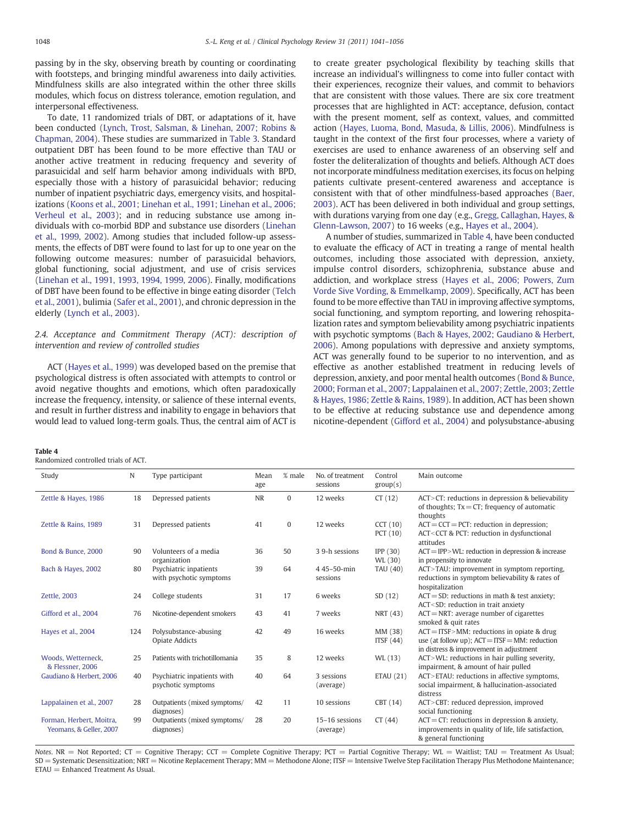passing by in the sky, observing breath by counting or coordinating with footsteps, and bringing mindful awareness into daily activities. Mindfulness skills are also integrated within the other three skills modules, which focus on distress tolerance, emotion regulation, and interpersonal effectiveness.

To date, 11 randomized trials of DBT, or adaptations of it, have been conducted [\(Lynch, Trost, Salsman, & Linehan, 2007; Robins &](#page-13-0) [Chapman, 2004\)](#page-13-0). These studies are summarized in [Table 3.](#page-6-0) Standard outpatient DBT has been found to be more effective than TAU or another active treatment in reducing frequency and severity of parasuicidal and self harm behavior among individuals with BPD, especially those with a history of parasuicidal behavior; reducing number of inpatient psychiatric days, emergency visits, and hospitalizations ([Koons et al., 2001; Linehan et al., 1991; Linehan et al., 2006;](#page-13-0) [Verheul et al., 2003](#page-13-0)); and in reducing substance use among individuals with co-morbid BDP and substance use disorders ([Linehan](#page-13-0) [et al., 1999, 2002\)](#page-13-0). Among studies that included follow-up assessments, the effects of DBT were found to last for up to one year on the following outcome measures: number of parasuicidal behaviors, global functioning, social adjustment, and use of crisis services [\(Linehan et al., 1991, 1993, 1994, 1999, 2006](#page-13-0)). Finally, modifications of DBT have been found to be effective in binge eating disorder [\(Telch](#page-14-0) [et al., 2001\)](#page-14-0), bulimia ([Safer et al., 2001](#page-14-0)), and chronic depression in the elderly ([Lynch et al., 2003\)](#page-13-0).

2.4. Acceptance and Commitment Therapy (ACT): description of intervention and review of controlled studies

ACT ([Hayes et al., 1999\)](#page-13-0) was developed based on the premise that psychological distress is often associated with attempts to control or avoid negative thoughts and emotions, which often paradoxically increase the frequency, intensity, or salience of these internal events, and result in further distress and inability to engage in behaviors that would lead to valued long-term goals. Thus, the central aim of ACT is to create greater psychological flexibility by teaching skills that increase an individual's willingness to come into fuller contact with their experiences, recognize their values, and commit to behaviors that are consistent with those values. There are six core treatment processes that are highlighted in ACT: acceptance, defusion, contact with the present moment, self as context, values, and committed action ([Hayes, Luoma, Bond, Masuda, & Lillis, 2006](#page-13-0)). Mindfulness is taught in the context of the first four processes, where a variety of exercises are used to enhance awareness of an observing self and foster the deliteralization of thoughts and beliefs. Although ACT does not incorporate mindfulness meditation exercises, its focus on helping patients cultivate present-centered awareness and acceptance is consistent with that of other mindfulness-based approaches ([Baer,](#page-11-0) [2003\)](#page-11-0). ACT has been delivered in both individual and group settings, with durations varying from one day (e.g., [Gregg, Callaghan, Hayes, &](#page-12-0) [Glenn-Lawson, 2007](#page-12-0)) to 16 weeks (e.g., [Hayes et al., 2004\)](#page-13-0).

A number of studies, summarized in Table 4, have been conducted to evaluate the efficacy of ACT in treating a range of mental health outcomes, including those associated with depression, anxiety, impulse control disorders, schizophrenia, substance abuse and addiction, and workplace stress ([Hayes et al., 2006; Powers, Zum](#page-13-0) [Vorde Sive Vording, & Emmelkamp, 2009\)](#page-13-0). Specifically, ACT has been found to be more effective than TAU in improving affective symptoms, social functioning, and symptom reporting, and lowering rehospitalization rates and symptom believability among psychiatric inpatients with psychotic symptoms [\(Bach & Hayes, 2002; Gaudiano & Herbert,](#page-11-0) [2006\)](#page-11-0). Among populations with depressive and anxiety symptoms, ACT was generally found to be superior to no intervention, and as effective as another established treatment in reducing levels of depression, anxiety, and poor mental health outcomes [\(Bond & Bunce,](#page-12-0) [2000; Forman et al., 2007; Lappalainen et al., 2007; Zettle, 2003; Zettle](#page-12-0) [& Hayes, 1986; Zettle & Rains, 1989\)](#page-12-0). In addition, ACT has been shown to be effective at reducing substance use and dependence among nicotine-dependent ([Gifford et al., 2004\)](#page-12-0) and polysubstance-abusing

#### Table 4

Randomized controlled trials of ACT.

| Study                                               | N   | Type participant                                  | Mean<br>age | % male       | No. of treatment<br>sessions | Control<br>group(s)    | Main outcome                                                                                                                                    |
|-----------------------------------------------------|-----|---------------------------------------------------|-------------|--------------|------------------------------|------------------------|-------------------------------------------------------------------------------------------------------------------------------------------------|
| Zettle & Hayes, 1986                                | 18  | Depressed patients                                | <b>NR</b>   | $\mathbf{0}$ | 12 weeks                     | CT(12)                 | $ACT > CT$ : reductions in depression & believability<br>of thoughts; $Tx = CT$ ; frequency of automatic<br>thoughts                            |
| Zettle & Rains, 1989                                | 31  | Depressed patients                                | 41          | $\mathbf{0}$ | 12 weeks                     | CCT(10)<br>PCT (10)    | $ACT = CCT = PCT$ ; reduction in depression;<br>ACT <cct &="" dysfunctional<br="" in="" pct:="" reduction="">attitudes</cct>                    |
| Bond & Bunce, 2000                                  | 90  | Volunteers of a media<br>organization             | 36          | 50           | 3 9-h sessions               | IPP $(30)$<br>WL (30)  | $ACT = IPP > WL$ ; reduction in depression & increase<br>in propensity to innovate                                                              |
| Bach & Hayes, 2002                                  | 80  | Psychiatric inpatients<br>with psychotic symptoms | 39          | 64           | 445-50-min<br>sessions       | TAU (40)               | ACT>TAU: improvement in symptom reporting,<br>reductions in symptom believability & rates of<br>hospitalization                                 |
| Zettle, 2003                                        | 24  | College students                                  | 31          | 17           | 6 weeks                      | SD(12)                 | $ACT = SD$ ; reductions in math & test anxiety;<br>ACT <sd: anxiety<="" in="" reduction="" td="" trait=""></sd:>                                |
| Gifford et al., 2004                                | 76  | Nicotine-dependent smokers                        | 43          | 41           | 7 weeks                      | NRT (43)               | $ACT = NRT$ : average number of cigarettes<br>smoked & quit rates                                                                               |
| Hayes et al., 2004                                  | 124 | Polysubstance-abusing<br><b>Opiate Addicts</b>    | 42          | 49           | 16 weeks                     | MM (38)<br>ITSF $(44)$ | $ACT = ITSF > MM$ ; reductions in opiate & drug<br>use (at follow up); $ACT = ITSF = MM$ ; reduction<br>in distress & improvement in adjustment |
| Woods, Wetterneck,<br>& Flessner, 2006              | 25  | Patients with trichotillomania                    | 35          | 8            | 12 weeks                     | WL (13)                | ACT>WL: reductions in hair pulling severity,<br>impairment, & amount of hair pulled                                                             |
| Gaudiano & Herbert, 2006                            | 40  | Psychiatric inpatients with<br>psychotic symptoms | 40          | 64           | 3 sessions<br>(average)      | <b>ETAU (21)</b>       | ACT>ETAU: reductions in affective symptoms,<br>social impairment, & hallucination-associated<br>distress                                        |
| Lappalainen et al., 2007                            | 28  | Outpatients (mixed symptoms/<br>diagnoses)        | 42          | 11           | 10 sessions                  | CBT(14)                | ACT>CBT: reduced depression, improved<br>social functioning                                                                                     |
| Forman, Herbert, Moitra.<br>Yeomans, & Geller, 2007 | 99  | Outpatients (mixed symptoms/<br>diagnoses)        | 28          | 20           | 15-16 sessions<br>(average)  | CT(44)                 | $ACT = CT$ : reductions in depression & anxiety,<br>improvements in quality of life, life satisfaction,<br>& general functioning                |

Notes. NR = Not Reported; CT = Cognitive Therapy; CCT = Complete Cognitive Therapy; PCT = Partial Cognitive Therapy; WL = Waitlist; TAU = Treatment As Usual; SD = Systematic Desensitization; NRT = Nicotine Replacement Therapy; MM = Methodone Alone; ITSF = Intensive Twelve Step Facilitation Therapy Plus Methodone Maintenance;  $ETAU =$  Enhanced Treatment As Usual.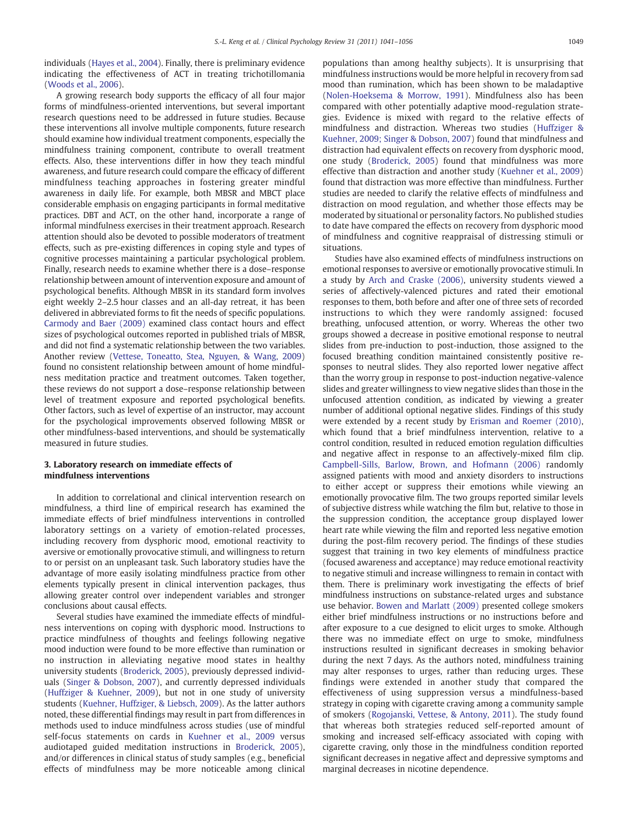individuals [\(Hayes et al., 2004\)](#page-13-0). Finally, there is preliminary evidence indicating the effectiveness of ACT in treating trichotillomania [\(Woods et al., 2006\)](#page-15-0).

A growing research body supports the efficacy of all four major forms of mindfulness-oriented interventions, but several important research questions need to be addressed in future studies. Because these interventions all involve multiple components, future research should examine how individual treatment components, especially the mindfulness training component, contribute to overall treatment effects. Also, these interventions differ in how they teach mindful awareness, and future research could compare the efficacy of different mindfulness teaching approaches in fostering greater mindful awareness in daily life. For example, both MBSR and MBCT place considerable emphasis on engaging participants in formal meditative practices. DBT and ACT, on the other hand, incorporate a range of informal mindfulness exercises in their treatment approach. Research attention should also be devoted to possible moderators of treatment effects, such as pre-existing differences in coping style and types of cognitive processes maintaining a particular psychological problem. Finally, research needs to examine whether there is a dose–response relationship between amount of intervention exposure and amount of psychological benefits. Although MBSR in its standard form involves eight weekly 2–2.5 hour classes and an all-day retreat, it has been delivered in abbreviated forms to fit the needs of specific populations. [Carmody and Baer \(2009\)](#page-12-0) examined class contact hours and effect sizes of psychological outcomes reported in published trials of MBSR, and did not find a systematic relationship between the two variables. Another review ([Vettese, Toneatto, Stea, Nguyen, & Wang, 2009](#page-14-0)) found no consistent relationship between amount of home mindfulness meditation practice and treatment outcomes. Taken together, these reviews do not support a dose–response relationship between level of treatment exposure and reported psychological benefits. Other factors, such as level of expertise of an instructor, may account for the psychological improvements observed following MBSR or other mindfulness-based interventions, and should be systematically measured in future studies.

#### 3. Laboratory research on immediate effects of mindfulness interventions

In addition to correlational and clinical intervention research on mindfulness, a third line of empirical research has examined the immediate effects of brief mindfulness interventions in controlled laboratory settings on a variety of emotion-related processes, including recovery from dysphoric mood, emotional reactivity to aversive or emotionally provocative stimuli, and willingness to return to or persist on an unpleasant task. Such laboratory studies have the advantage of more easily isolating mindfulness practice from other elements typically present in clinical intervention packages, thus allowing greater control over independent variables and stronger conclusions about causal effects.

Several studies have examined the immediate effects of mindfulness interventions on coping with dysphoric mood. Instructions to practice mindfulness of thoughts and feelings following negative mood induction were found to be more effective than rumination or no instruction in alleviating negative mood states in healthy university students [\(Broderick, 2005\)](#page-12-0), previously depressed individuals [\(Singer & Dobson, 2007\)](#page-14-0), and currently depressed individuals [\(Huffziger & Kuehner, 2009](#page-13-0)), but not in one study of university students ([Kuehner, Huffziger, & Liebsch, 2009](#page-13-0)). As the latter authors noted, these differential findings may result in part from differences in methods used to induce mindfulness across studies (use of mindful self-focus statements on cards in [Kuehner et al., 2009](#page-13-0) versus audiotaped guided meditation instructions in [Broderick, 2005](#page-12-0)), and/or differences in clinical status of study samples (e.g., beneficial effects of mindfulness may be more noticeable among clinical populations than among healthy subjects). It is unsurprising that mindfulness instructions would be more helpful in recovery from sad mood than rumination, which has been shown to be maladaptive [\(Nolen-Hoeksema & Morrow, 1991](#page-13-0)). Mindfulness also has been compared with other potentially adaptive mood-regulation strategies. Evidence is mixed with regard to the relative effects of mindfulness and distraction. Whereas two studies ([Huffziger &](#page-13-0) [Kuehner, 2009; Singer & Dobson, 2007](#page-13-0)) found that mindfulness and distraction had equivalent effects on recovery from dysphoric mood, one study ([Broderick, 2005\)](#page-12-0) found that mindfulness was more effective than distraction and another study [\(Kuehner et al., 2009](#page-13-0)) found that distraction was more effective than mindfulness. Further studies are needed to clarify the relative effects of mindfulness and distraction on mood regulation, and whether those effects may be moderated by situational or personality factors. No published studies to date have compared the effects on recovery from dysphoric mood of mindfulness and cognitive reappraisal of distressing stimuli or situations.

Studies have also examined effects of mindfulness instructions on emotional responses to aversive or emotionally provocative stimuli. In a study by [Arch and Craske \(2006\)](#page-11-0), university students viewed a series of affectively-valenced pictures and rated their emotional responses to them, both before and after one of three sets of recorded instructions to which they were randomly assigned: focused breathing, unfocused attention, or worry. Whereas the other two groups showed a decrease in positive emotional response to neutral slides from pre-induction to post-induction, those assigned to the focused breathing condition maintained consistently positive responses to neutral slides. They also reported lower negative affect than the worry group in response to post-induction negative-valence slides and greater willingness to view negative slides than those in the unfocused attention condition, as indicated by viewing a greater number of additional optional negative slides. Findings of this study were extended by a recent study by [Erisman and Roemer \(2010\),](#page-12-0) which found that a brief mindfulness intervention, relative to a control condition, resulted in reduced emotion regulation difficulties and negative affect in response to an affectively-mixed film clip. [Campbell-Sills, Barlow, Brown, and Hofmann \(2006\)](#page-12-0) randomly assigned patients with mood and anxiety disorders to instructions to either accept or suppress their emotions while viewing an emotionally provocative film. The two groups reported similar levels of subjective distress while watching the film but, relative to those in the suppression condition, the acceptance group displayed lower heart rate while viewing the film and reported less negative emotion during the post-film recovery period. The findings of these studies suggest that training in two key elements of mindfulness practice (focused awareness and acceptance) may reduce emotional reactivity to negative stimuli and increase willingness to remain in contact with them. There is preliminary work investigating the effects of brief mindfulness instructions on substance-related urges and substance use behavior. [Bowen and Marlatt \(2009\)](#page-12-0) presented college smokers either brief mindfulness instructions or no instructions before and after exposure to a cue designed to elicit urges to smoke. Although there was no immediate effect on urge to smoke, mindfulness instructions resulted in significant decreases in smoking behavior during the next 7 days. As the authors noted, mindfulness training may alter responses to urges, rather than reducing urges. These findings were extended in another study that compared the effectiveness of using suppression versus a mindfulness-based strategy in coping with cigarette craving among a community sample of smokers ([Rogojanski, Vettese, & Antony, 2011](#page-14-0)). The study found that whereas both strategies reduced self-reported amount of smoking and increased self-efficacy associated with coping with cigarette craving, only those in the mindfulness condition reported significant decreases in negative affect and depressive symptoms and marginal decreases in nicotine dependence.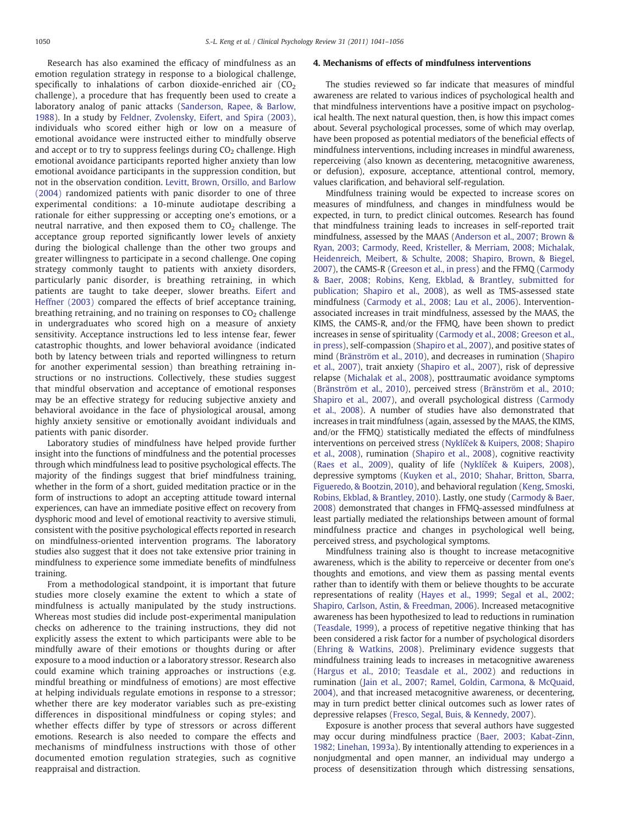Research has also examined the efficacy of mindfulness as an emotion regulation strategy in response to a biological challenge, specifically to inhalations of carbon dioxide-enriched air  $(CO<sub>2</sub>)$ challenge), a procedure that has frequently been used to create a laboratory analog of panic attacks [\(Sanderson, Rapee, & Barlow,](#page-14-0) [1988](#page-14-0)). In a study by [Feldner, Zvolensky, Eifert, and Spira \(2003\),](#page-12-0) individuals who scored either high or low on a measure of emotional avoidance were instructed either to mindfully observe and accept or to try to suppress feelings during  $CO<sub>2</sub>$  challenge. High emotional avoidance participants reported higher anxiety than low emotional avoidance participants in the suppression condition, but not in the observation condition. [Levitt, Brown, Orsillo, and Barlow](#page-13-0) [\(2004\)](#page-13-0) randomized patients with panic disorder to one of three experimental conditions: a 10-minute audiotape describing a rationale for either suppressing or accepting one's emotions, or a neutral narrative, and then exposed them to  $CO<sub>2</sub>$  challenge. The acceptance group reported significantly lower levels of anxiety during the biological challenge than the other two groups and greater willingness to participate in a second challenge. One coping strategy commonly taught to patients with anxiety disorders, particularly panic disorder, is breathing retraining, in which patients are taught to take deeper, slower breaths. [Eifert and](#page-12-0) [Heffner \(2003\)](#page-12-0) compared the effects of brief acceptance training, breathing retraining, and no training on responses to  $CO<sub>2</sub>$  challenge in undergraduates who scored high on a measure of anxiety sensitivity. Acceptance instructions led to less intense fear, fewer catastrophic thoughts, and lower behavioral avoidance (indicated both by latency between trials and reported willingness to return for another experimental session) than breathing retraining instructions or no instructions. Collectively, these studies suggest that mindful observation and acceptance of emotional responses may be an effective strategy for reducing subjective anxiety and behavioral avoidance in the face of physiological arousal, among highly anxiety sensitive or emotionally avoidant individuals and patients with panic disorder.

Laboratory studies of mindfulness have helped provide further insight into the functions of mindfulness and the potential processes through which mindfulness lead to positive psychological effects. The majority of the findings suggest that brief mindfulness training, whether in the form of a short, guided meditation practice or in the form of instructions to adopt an accepting attitude toward internal experiences, can have an immediate positive effect on recovery from dysphoric mood and level of emotional reactivity to aversive stimuli, consistent with the positive psychological effects reported in research on mindfulness-oriented intervention programs. The laboratory studies also suggest that it does not take extensive prior training in mindfulness to experience some immediate benefits of mindfulness training.

From a methodological standpoint, it is important that future studies more closely examine the extent to which a state of mindfulness is actually manipulated by the study instructions. Whereas most studies did include post-experimental manipulation checks on adherence to the training instructions, they did not explicitly assess the extent to which participants were able to be mindfully aware of their emotions or thoughts during or after exposure to a mood induction or a laboratory stressor. Research also could examine which training approaches or instructions (e.g. mindful breathing or mindfulness of emotions) are most effective at helping individuals regulate emotions in response to a stressor; whether there are key moderator variables such as pre-existing differences in dispositional mindfulness or coping styles; and whether effects differ by type of stressors or across different emotions. Research is also needed to compare the effects and mechanisms of mindfulness instructions with those of other documented emotion regulation strategies, such as cognitive reappraisal and distraction.

#### 4. Mechanisms of effects of mindfulness interventions

The studies reviewed so far indicate that measures of mindful awareness are related to various indices of psychological health and that mindfulness interventions have a positive impact on psychological health. The next natural question, then, is how this impact comes about. Several psychological processes, some of which may overlap, have been proposed as potential mediators of the beneficial effects of mindfulness interventions, including increases in mindful awareness, reperceiving (also known as decentering, metacognitive awareness, or defusion), exposure, acceptance, attentional control, memory, values clarification, and behavioral self-regulation.

Mindfulness training would be expected to increase scores on measures of mindfulness, and changes in mindfulness would be expected, in turn, to predict clinical outcomes. Research has found that mindfulness training leads to increases in self-reported trait mindfulness, assessed by the MAAS ([Anderson et al., 2007; Brown &](#page-11-0) [Ryan, 2003; Carmody, Reed, Kristeller, & Merriam, 2008; Michalak,](#page-11-0) [Heidenreich, Meibert, & Schulte, 2008; Shapiro, Brown, & Biegel,](#page-11-0) [2007\)](#page-11-0), the CAMS-R ([Greeson et al., in press](#page-12-0)) and the FFMQ ([Carmody](#page-12-0) [& Baer, 2008; Robins, Keng, Ekblad, & Brantley, submitted for](#page-12-0) [publication; Shapiro et al., 2008\)](#page-12-0), as well as TMS-assessed state mindfulness [\(Carmody et al., 2008; Lau et al., 2006\)](#page-12-0). Interventionassociated increases in trait mindfulness, assessed by the MAAS, the KIMS, the CAMS-R, and/or the FFMQ, have been shown to predict increases in sense of spirituality ([Carmody et al., 2008; Greeson et al.,](#page-12-0) [in press\)](#page-12-0), self-compassion ([Shapiro et al., 2007\)](#page-14-0), and positive states of mind ([Bränström et al., 2010\)](#page-12-0), and decreases in rumination [\(Shapiro](#page-14-0) [et al., 2007\)](#page-14-0), trait anxiety [\(Shapiro et al., 2007](#page-14-0)), risk of depressive relapse ([Michalak et al., 2008\)](#page-13-0), posttraumatic avoidance symptoms [\(Bränström et al., 2010\)](#page-12-0), perceived stress ([Bränström et al., 2010;](#page-12-0) [Shapiro et al., 2007](#page-12-0)), and overall psychological distress ([Carmody](#page-12-0) [et al., 2008](#page-12-0)). A number of studies have also demonstrated that increases in trait mindfulness (again, assessed by the MAAS, the KIMS, and/or the FFMQ) statistically mediated the effects of mindfulness interventions on perceived stress (Nyklíč[ek & Kuipers, 2008; Shapiro](#page-13-0) [et al., 2008\)](#page-13-0), rumination [\(Shapiro et al., 2008](#page-14-0)), cognitive reactivity [\(Raes et al., 2009](#page-14-0)), quality of life (Nyklíč[ek & Kuipers, 2008](#page-13-0)), depressive symptoms [\(Kuyken et al., 2010; Shahar, Britton, Sbarra,](#page-13-0) [Figueredo, & Bootzin, 2010\)](#page-13-0), and behavioral regulation ([Keng, Smoski,](#page-13-0) [Robins, Ekblad, & Brantley, 2010\)](#page-13-0). Lastly, one study [\(Carmody & Baer,](#page-12-0) [2008\)](#page-12-0) demonstrated that changes in FFMQ-assessed mindfulness at least partially mediated the relationships between amount of formal mindfulness practice and changes in psychological well being, perceived stress, and psychological symptoms.

Mindfulness training also is thought to increase metacognitive awareness, which is the ability to reperceive or decenter from one's thoughts and emotions, and view them as passing mental events rather than to identify with them or believe thoughts to be accurate representations of reality [\(Hayes et al., 1999; Segal et al., 2002;](#page-13-0) [Shapiro, Carlson, Astin, & Freedman, 2006\)](#page-13-0). Increased metacognitive awareness has been hypothesized to lead to reductions in rumination [\(Teasdale, 1999\)](#page-14-0), a process of repetitive negative thinking that has been considered a risk factor for a number of psychological disorders [\(Ehring & Watkins, 2008\)](#page-12-0). Preliminary evidence suggests that mindfulness training leads to increases in metacognitive awareness [\(Hargus et al., 2010; Teasdale et al., 2002\)](#page-13-0) and reductions in rumination ([Jain et al., 2007; Ramel, Goldin, Carmona, & McQuaid,](#page-13-0) [2004\)](#page-13-0), and that increased metacognitive awareness, or decentering, may in turn predict better clinical outcomes such as lower rates of depressive relapses [\(Fresco, Segal, Buis, & Kennedy, 2007](#page-12-0)).

Exposure is another process that several authors have suggested may occur during mindfulness practice [\(Baer, 2003; Kabat-Zinn,](#page-11-0) [1982; Linehan, 1993a\)](#page-11-0). By intentionally attending to experiences in a nonjudgmental and open manner, an individual may undergo a process of desensitization through which distressing sensations,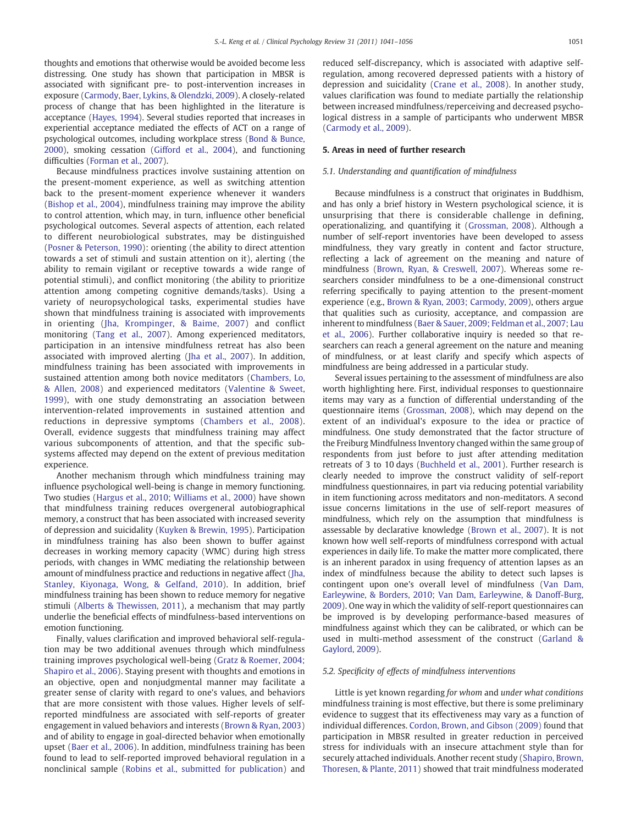thoughts and emotions that otherwise would be avoided become less distressing. One study has shown that participation in MBSR is associated with significant pre- to post-intervention increases in exposure [\(Carmody, Baer, Lykins, & Olendzki, 2009\)](#page-12-0). A closely-related process of change that has been highlighted in the literature is acceptance ([Hayes, 1994](#page-13-0)). Several studies reported that increases in experiential acceptance mediated the effects of ACT on a range of psychological outcomes, including workplace stress ([Bond & Bunce,](#page-12-0) [2000\)](#page-12-0), smoking cessation [\(Gifford et al., 2004](#page-12-0)), and functioning difficulties ([Forman et al., 2007\)](#page-12-0).

Because mindfulness practices involve sustaining attention on the present-moment experience, as well as switching attention back to the present-moment experience whenever it wanders [\(Bishop et al., 2004](#page-12-0)), mindfulness training may improve the ability to control attention, which may, in turn, influence other beneficial psychological outcomes. Several aspects of attention, each related to different neurobiological substrates, may be distinguished [\(Posner & Peterson, 1990\)](#page-14-0): orienting (the ability to direct attention towards a set of stimuli and sustain attention on it), alerting (the ability to remain vigilant or receptive towards a wide range of potential stimuli), and conflict monitoring (the ability to prioritize attention among competing cognitive demands/tasks). Using a variety of neuropsychological tasks, experimental studies have shown that mindfulness training is associated with improvements in orienting ([Jha, Krompinger, & Baime, 2007\)](#page-13-0) and conflict monitoring ([Tang et al., 2007](#page-14-0)). Among experienced meditators, participation in an intensive mindfulness retreat has also been associated with improved alerting [\(Jha et al., 2007](#page-13-0)). In addition, mindfulness training has been associated with improvements in sustained attention among both novice meditators [\(Chambers, Lo,](#page-12-0) [& Allen, 2008](#page-12-0)) and experienced meditators ([Valentine & Sweet,](#page-14-0) [1999](#page-14-0)), with one study demonstrating an association between intervention-related improvements in sustained attention and reductions in depressive symptoms [\(Chambers et al., 2008](#page-12-0)). Overall, evidence suggests that mindfulness training may affect various subcomponents of attention, and that the specific subsystems affected may depend on the extent of previous meditation experience

Another mechanism through which mindfulness training may influence psychological well-being is change in memory functioning. Two studies ([Hargus et al., 2010; Williams et al., 2000](#page-13-0)) have shown that mindfulness training reduces overgeneral autobiographical memory, a construct that has been associated with increased severity of depression and suicidality [\(Kuyken & Brewin, 1995\)](#page-13-0). Participation in mindfulness training has also been shown to buffer against decreases in working memory capacity (WMC) during high stress periods, with changes in WMC mediating the relationship between amount of mindfulness practice and reductions in negative affect [\(Jha,](#page-13-0) [Stanley, Kiyonaga, Wong, & Gelfand, 2010](#page-13-0)). In addition, brief mindfulness training has been shown to reduce memory for negative stimuli ([Alberts & Thewissen, 2011](#page-11-0)), a mechanism that may partly underlie the beneficial effects of mindfulness-based interventions on emotion functioning.

Finally, values clarification and improved behavioral self-regulation may be two additional avenues through which mindfulness training improves psychological well-being [\(Gratz & Roemer, 2004;](#page-12-0) [Shapiro et al., 2006\)](#page-12-0). Staying present with thoughts and emotions in an objective, open and nonjudgmental manner may facilitate a greater sense of clarity with regard to one's values, and behaviors that are more consistent with those values. Higher levels of selfreported mindfulness are associated with self-reports of greater engagement in valued behaviors and interests [\(Brown & Ryan, 2003](#page-12-0)) and of ability to engage in goal-directed behavior when emotionally upset ([Baer et al., 2006](#page-11-0)). In addition, mindfulness training has been found to lead to self-reported improved behavioral regulation in a nonclinical sample ([Robins et al., submitted for publication](#page-14-0)) and reduced self-discrepancy, which is associated with adaptive selfregulation, among recovered depressed patients with a history of depression and suicidality ([Crane et al., 2008](#page-12-0)). In another study, values clarification was found to mediate partially the relationship between increased mindfulness/reperceiving and decreased psychological distress in a sample of participants who underwent MBSR [\(Carmody et al., 2009](#page-12-0)).

#### 5. Areas in need of further research

#### 5.1. Understanding and quantification of mindfulness

Because mindfulness is a construct that originates in Buddhism, and has only a brief history in Western psychological science, it is unsurprising that there is considerable challenge in defining, operationalizing, and quantifying it ([Grossman, 2008](#page-12-0)). Although a number of self-report inventories have been developed to assess mindfulness, they vary greatly in content and factor structure, reflecting a lack of agreement on the meaning and nature of mindfulness ([Brown, Ryan, & Creswell, 2007\)](#page-12-0). Whereas some researchers consider mindfulness to be a one-dimensional construct referring specifically to paying attention to the present-moment experience (e.g., [Brown & Ryan, 2003; Carmody, 2009\)](#page-12-0), others argue that qualities such as curiosity, acceptance, and compassion are inherent to mindfulness ([Baer & Sauer, 2009; Feldman et al., 2007; Lau](#page-11-0) [et al., 2006\)](#page-11-0). Further collaborative inquiry is needed so that researchers can reach a general agreement on the nature and meaning of mindfulness, or at least clarify and specify which aspects of mindfulness are being addressed in a particular study.

Several issues pertaining to the assessment of mindfulness are also worth highlighting here. First, individual responses to questionnaire items may vary as a function of differential understanding of the questionnaire items ([Grossman, 2008\)](#page-12-0), which may depend on the extent of an individual's exposure to the idea or practice of mindfulness. One study demonstrated that the factor structure of the Freiburg Mindfulness Inventory changed within the same group of respondents from just before to just after attending meditation retreats of 3 to 10 days ([Buchheld et al., 2001](#page-12-0)). Further research is clearly needed to improve the construct validity of self-report mindfulness questionnaires, in part via reducing potential variability in item functioning across meditators and non-meditators. A second issue concerns limitations in the use of self-report measures of mindfulness, which rely on the assumption that mindfulness is assessable by declarative knowledge ([Brown et al., 2007\)](#page-12-0). It is not known how well self-reports of mindfulness correspond with actual experiences in daily life. To make the matter more complicated, there is an inherent paradox in using frequency of attention lapses as an index of mindfulness because the ability to detect such lapses is contingent upon one's overall level of mindfulness [\(Van Dam,](#page-14-0) [Earleywine, & Borders, 2010; Van Dam, Earleywine, & Danoff-Burg,](#page-14-0) [2009\)](#page-14-0). One way in which the validity of self-report questionnaires can be improved is by developing performance-based measures of mindfulness against which they can be calibrated, or which can be used in multi-method assessment of the construct ([Garland &](#page-12-0) [Gaylord, 2009\)](#page-12-0).

#### 5.2. Specificity of effects of mindfulness interventions

Little is yet known regarding for whom and under what conditions mindfulness training is most effective, but there is some preliminary evidence to suggest that its effectiveness may vary as a function of individual differences. [Cordon, Brown, and Gibson \(2009\)](#page-12-0) found that participation in MBSR resulted in greater reduction in perceived stress for individuals with an insecure attachment style than for securely attached individuals. Another recent study [\(Shapiro, Brown,](#page-14-0) [Thoresen, & Plante, 2011\)](#page-14-0) showed that trait mindfulness moderated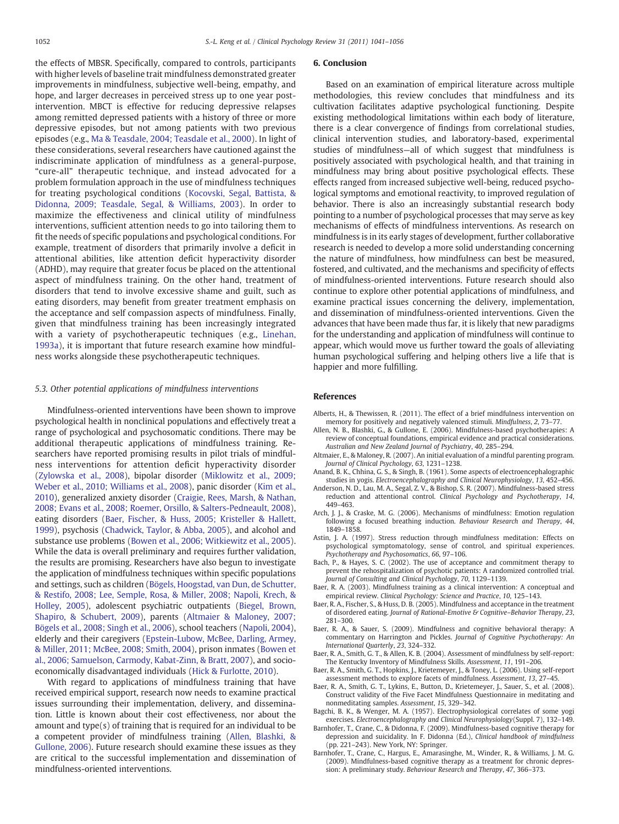<span id="page-11-0"></span>the effects of MBSR. Specifically, compared to controls, participants with higher levels of baseline trait mindfulness demonstrated greater improvements in mindfulness, subjective well-being, empathy, and hope, and larger decreases in perceived stress up to one year postintervention. MBCT is effective for reducing depressive relapses among remitted depressed patients with a history of three or more depressive episodes, but not among patients with two previous episodes (e.g., [Ma & Teasdale, 2004; Teasdale et al., 2000\)](#page-13-0). In light of these considerations, several researchers have cautioned against the indiscriminate application of mindfulness as a general-purpose, "cure-all" therapeutic technique, and instead advocated for a problem formulation approach in the use of mindfulness techniques for treating psychological conditions ([Kocovski, Segal, Battista, &](#page-13-0) [Didonna, 2009; Teasdale, Segal, & Williams, 2003](#page-13-0)). In order to maximize the effectiveness and clinical utility of mindfulness interventions, sufficient attention needs to go into tailoring them to fit the needs of specific populations and psychological conditions. For example, treatment of disorders that primarily involve a deficit in attentional abilities, like attention deficit hyperactivity disorder (ADHD), may require that greater focus be placed on the attentional aspect of mindfulness training. On the other hand, treatment of disorders that tend to involve excessive shame and guilt, such as eating disorders, may benefit from greater treatment emphasis on the acceptance and self compassion aspects of mindfulness. Finally, given that mindfulness training has been increasingly integrated with a variety of psychotherapeutic techniques (e.g., [Linehan,](#page-13-0) [1993a](#page-13-0)), it is important that future research examine how mindfulness works alongside these psychotherapeutic techniques.

#### 5.3. Other potential applications of mindfulness interventions

Mindfulness-oriented interventions have been shown to improve psychological health in nonclinical populations and effectively treat a range of psychological and psychosomatic conditions. There may be additional therapeutic applications of mindfulness training. Researchers have reported promising results in pilot trials of mindfulness interventions for attention deficit hyperactivity disorder [\(Zylowska et al., 2008\)](#page-15-0), bipolar disorder [\(Miklowitz et al., 2009;](#page-13-0) [Weber et al., 2010; Williams et al., 2008](#page-13-0)), panic disorder ([Kim et al.,](#page-13-0) [2010\)](#page-13-0), generalized anxiety disorder ([Craigie, Rees, Marsh, & Nathan,](#page-12-0) [2008; Evans et al., 2008; Roemer, Orsillo, & Salters-Pedneault, 2008](#page-12-0)), eating disorders (Baer, Fischer, & Huss, 2005; Kristeller & Hallett, 1999), psychosis [\(Chadwick, Taylor, & Abba, 2005\)](#page-12-0), and alcohol and substance use problems [\(Bowen et al., 2006; Witkiewitz et al., 2005](#page-12-0)). While the data is overall preliminary and requires further validation, the results are promising. Researchers have also begun to investigate the application of mindfulness techniques within specific populations and settings, such as children ([Bögels, Hoogstad, van Dun, de Schutter,](#page-12-0) [& Restifo, 2008; Lee, Semple, Rosa, & Miller, 2008; Napoli, Krech, &](#page-12-0) [Holley, 2005](#page-12-0)), adolescent psychiatric outpatients [\(Biegel, Brown,](#page-12-0) [Shapiro, & Schubert, 2009\)](#page-12-0), parents (Altmaier & Maloney, 2007; Bögels et al., 2008; Singh et al., 2006), school teachers ([Napoli, 2004](#page-13-0)), elderly and their caregivers [\(Epstein-Lubow, McBee, Darling, Armey,](#page-12-0) [& Miller, 2011; McBee, 2008; Smith, 2004\)](#page-12-0), prison inmates ([Bowen et](#page-12-0) [al., 2006; Samuelson, Carmody, Kabat-Zinn, & Bratt, 2007](#page-12-0)), and socioeconomically disadvantaged individuals [\(Hick & Furlotte, 2010\)](#page-13-0).

With regard to applications of mindfulness training that have received empirical support, research now needs to examine practical issues surrounding their implementation, delivery, and dissemination. Little is known about their cost effectiveness, nor about the amount and type(s) of training that is required for an individual to be a competent provider of mindfulness training (Allen, Blashki, & Gullone, 2006). Future research should examine these issues as they are critical to the successful implementation and dissemination of mindfulness-oriented interventions.

#### 6. Conclusion

Based on an examination of empirical literature across multiple methodologies, this review concludes that mindfulness and its cultivation facilitates adaptive psychological functioning. Despite existing methodological limitations within each body of literature, there is a clear convergence of findings from correlational studies, clinical intervention studies, and laboratory-based, experimental studies of mindfulness—all of which suggest that mindfulness is positively associated with psychological health, and that training in mindfulness may bring about positive psychological effects. These effects ranged from increased subjective well-being, reduced psychological symptoms and emotional reactivity, to improved regulation of behavior. There is also an increasingly substantial research body pointing to a number of psychological processes that may serve as key mechanisms of effects of mindfulness interventions. As research on mindfulness is in its early stages of development, further collaborative research is needed to develop a more solid understanding concerning the nature of mindfulness, how mindfulness can best be measured, fostered, and cultivated, and the mechanisms and specificity of effects of mindfulness-oriented interventions. Future research should also continue to explore other potential applications of mindfulness, and examine practical issues concerning the delivery, implementation, and dissemination of mindfulness-oriented interventions. Given the advances that have been made thus far, it is likely that new paradigms for the understanding and application of mindfulness will continue to appear, which would move us further toward the goals of alleviating human psychological suffering and helping others live a life that is happier and more fulfilling.

#### References

- Alberts, H., & Thewissen, R. (2011). The effect of a brief mindfulness intervention on memory for positively and negatively valenced stimuli. Mindfulness, 2, 73–77.
- Allen, N. B., Blashki, G., & Gullone, E. (2006). Mindfulness-based psychotherapies: A review of conceptual foundations, empirical evidence and practical considerations. Australian and New Zealand Journal of Psychiatry, 40, 285–294.
- Altmaier, E., & Maloney, R. (2007). An initial evaluation of a mindful parenting program. Journal of Clinical Psychology, 63, 1231–1238.
- Anand, B. K., Chhina, G. S., & Singh, B. (1961). Some aspects of electroencephalographic studies in yogis. Electroencephalography and Clinical Neurophysiology, 13, 452–456.
- Anderson, N. D., Lau, M. A., Segal, Z. V., & Bishop, S. R. (2007). Mindfulness-based stress reduction and attentional control. Clinical Psychology and Psychotherapy, 14, 449–463.
- Arch, J. J., & Craske, M. G. (2006). Mechanisms of mindfulness: Emotion regulation following a focused breathing induction. Behaviour Research and Therapy, 44, 1849–1858.
- Astin, J. A. (1997). Stress reduction through mindfulness meditation: Effects on psychological symptomatology, sense of control, and spiritual experiences. Psychotherapy and Psychosomatics, 66, 97–106.
- Bach, P., & Hayes, S. C. (2002). The use of acceptance and commitment therapy to prevent the rehospitalization of psychotic patients: A randomized controlled trial. Journal of Consulting and Clinical Psychology, 70, 1129–1139.
- Baer, R. A. (2003). Mindfulness training as a clinical intervention: A conceptual and empirical review. Clinical Psychology: Science and Practice, 10, 125–143.
- Baer, R. A., Fischer, S., & Huss, D. B. (2005). Mindfulness and acceptance in the treatment of disordered eating. Journal of Rational-Emotive & Cognitive–Behavior Therapy, 23, 281–300.
- Baer, R. A., & Sauer, S. (2009). Mindfulness and cognitive behavioral therapy: A commentary on Harrington and Pickles. Journal of Cognitive Psychotherapy: An International Quarterly, 23, 324–332.
- Baer, R. A., Smith, G. T., & Allen, K. B. (2004). Assessment of mindfulness by self-report: The Kentucky Inventory of Mindfulness Skills. Assessment, 11, 191–206.
- Baer, R. A., Smith, G. T., Hopkins, J., Krietemeyer, J., & Toney, L. (2006). Using self-report assessment methods to explore facets of mindfulness. Assessment, 13, 27–45.
- Baer, R. A., Smith, G. T., Lykins, E., Button, D., Krietemeyer, J., Sauer, S., et al. (2008). Construct validity of the Five Facet Mindfulness Questionnaire in meditating and nonmeditating samples. Assessment, 15, 329–342.
- Bagchi, B. K., & Wenger, M. A. (1957). Electrophysiological correlates of some yogi exercises. Electroencephalography and Clinical Neurophysiology(Suppl. 7), 132–149.
- Barnhofer, T., Crane, C., & Didonna, F. (2009). Mindfulness-based cognitive therapy for depression and suicidality. In F. Didonna (Ed.), Clinical handbook of mindfulness (pp. 221–243). New York, NY: Springer.
- Barnhofer, T., Crane, C., Hargus, E., Amarasinghe, M., Winder, R., & Williams, J. M. G. (2009). Mindfulness-based cognitive therapy as a treatment for chronic depression: A preliminary study. Behaviour Research and Therapy, 47, 366–373.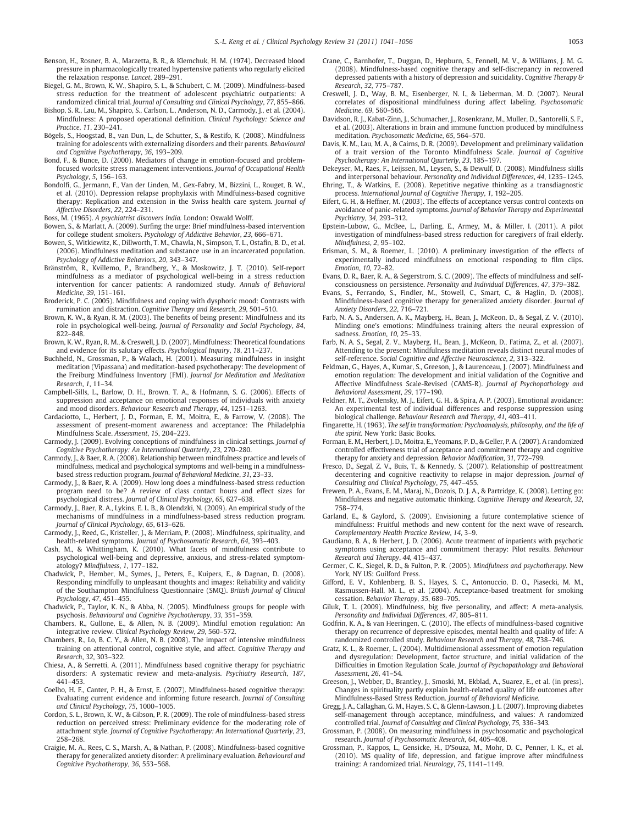- <span id="page-12-0"></span>Benson, H., Rosner, B. A., Marzetta, B. R., & Klemchuk, H. M. (1974). Decreased blood pressure in pharmacologically treated hypertensive patients who regularly elicited the relaxation response. Lancet, 289–291.
- Biegel, G. M., Brown, K. W., Shapiro, S. L., & Schubert, C. M. (2009). Mindfulness-based stress reduction for the treatment of adolescent psychiatric outpatients: A randomized clinical trial. Journal of Consulting and Clinical Psychology, 77, 855–866.
- Bishop, S. R., Lau, M., Shapiro, S., Carlson, L., Anderson, N. D., Carmody, J., et al. (2004). Mindfulness: A proposed operational definition. Clinical Psychology: Science and Practice, 11, 230–241.
- Bögels, S., Hoogstad, B., van Dun, L., de Schutter, S., & Restifo, K. (2008). Mindfulness training for adolescents with externalizing disorders and their parents. Behavioural and Cognitive Psychotherapy, 36, 193–209.
- Bond, F., & Bunce, D. (2000). Mediators of change in emotion-focused and problemfocused worksite stress management interventions. Journal of Occupational Health Psychology, 5, 156–163.
- Bondolfi, G., Jermann, F., Van der Linden, M., Gex-Fabry, M., Bizzini, L., Rouget, B. W., et al. (2010). Depression relapse prophylaxis with Mindfulness-based cognitive therapy: Replication and extension in the Swiss health care system. Journal of Affective Disorders, 22, 224–231.

Boss, M. (1965). A psychiatrist discovers India. London: Oswald Wolff.

- Bowen, S., & Marlatt, A. (2009). Surfing the urge: Brief mindfulness-based intervention for college student smokers. Psychology of Addictive Behavior, 23, 666–671.
- Bowen, S., Witkiewitz, K., Dillworth, T. M., Chawla, N., Simpson, T. L., Ostafin, B. D., et al. (2006). Mindfulness meditation and substance use in an incarcerated population. Psychology of Addictive Behaviors, 20, 343–347.
- Bränström, R., Kvillemo, P., Brandberg, Y., & Moskowitz, J. T. (2010). Self-report mindfulness as a mediator of psychological well-being in a stress reduction intervention for cancer patients: A randomized study. Annals of Behavioral Medicine, 39, 151–161.
- Broderick, P. C. (2005). Mindfulness and coping with dysphoric mood: Contrasts with rumination and distraction. Cognitive Therapy and Research, 29, 501–510.
- Brown, K. W., & Ryan, R. M. (2003). The benefits of being present: Mindfulness and its role in psychological well-being. Journal of Personality and Social Psychology, 84, 822–848.
- Brown, K. W., Ryan, R. M., & Creswell, J. D. (2007). Mindfulness: Theoretical foundations and evidence for its salutary effects. Psychological Inquiry, 18, 211–237.
- Buchheld, N., Grossman, P., & Walach, H. (2001). Measuring mindfulness in insight meditation (Vipassana) and meditation-based psychotherapy: The development of the Freiburg Mindfulness Inventory (FMI). Journal for Meditation and Meditation Research, 1, 11–34.
- Campbell-Sills, L., Barlow, D. H., Brown, T. A., & Hofmann, S. G. (2006). Effects of suppression and acceptance on emotional responses of individuals with anxiety and mood disorders. Behaviour Research and Therapy, 44, 1251–1263.
- Cardaciotto, L., Herbert, J. D., Forman, E. M., Moitra, E., & Farrow, V. (2008). The assessment of present-moment awareness and acceptance: The Philadelphia Mindfulness Scale. Assessment, 15, 204–223.
- Carmody, J. (2009). Evolving conceptions of mindfulness in clinical settings. Journal of Cognitive Psychotherapy: An International Quarterly, 23, 270–280.
- Carmody, J., & Baer, R. A. (2008). Relationship between mindfulness practice and levels of mindfulness, medical and psychological symptoms and well-being in a mindfulnessbased stress reduction program. Journal of Behavioral Medicine, 31, 23–33.
- Carmody, J., & Baer, R. A. (2009). How long does a mindfulness-based stress reduction program need to be? A review of class contact hours and effect sizes for psychological distress. Journal of Clinical Psychology, 65, 627–638.
- Carmody, J., Baer, R. A., Lykins, E. L. B., & Olendzki, N. (2009). An empirical study of the mechanisms of mindfulness in a mindfulness-based stress reduction program. Journal of Clinical Psychology, 65, 613–626.
- Carmody, J., Reed, G., Kristeller, J., & Merriam, P. (2008). Mindfulness, spirituality, and health-related symptoms. Journal of Psychosomatic Research, 64, 393–403.
- Cash, M., & Whittingham, K. (2010). What facets of mindfulness contribute to psychological well-being and depressive, anxious, and stress-related symptomatology? Mindfulness, 1, 177–182.
- Chadwick, P., Hember, M., Symes, J., Peters, E., Kuipers, E., & Dagnan, D. (2008). Responding mindfully to unpleasant thoughts and images: Reliability and validity of the Southampton Mindfulness Questionnaire (SMQ). British Journal of Clinical Psychology, 47, 451–455.
- Chadwick, P., Taylor, K. N., & Abba, N. (2005). Mindfulness groups for people with psychosis. Behavioural and Cognitive Psychotherapy, 33, 351–359.
- Chambers, R., Gullone, E., & Allen, N. B. (2009). Mindful emotion regulation: An integrative review. Clinical Psychology Review, 29, 560–572.
- Chambers, R., Lo, B. C. Y., & Allen, N. B. (2008). The impact of intensive mindfulness training on attentional control, cognitive style, and affect. Cognitive Therapy and Research, 32, 303–322.
- Chiesa, A., & Serretti, A. (2011). Mindfulness based cognitive therapy for psychiatric disorders: A systematic review and meta-analysis. Psychiatry Research, 187, 441–453.
- Coelho, H. F., Canter, P. H., & Ernst, E. (2007). Mindfulness-based cognitive therapy: Evaluating current evidence and informing future research. Journal of Consulting and Clinical Psychology, 75, 1000–1005.
- Cordon, S. L., Brown, K. W., & Gibson, P. R. (2009). The role of mindfulness-based stress reduction on perceived stress: Preliminary evidence for the moderating role of attachment style. Journal of Cognitive Psychotherapy: An International Quarterly, 23, 258–268.
- Craigie, M. A., Rees, C. S., Marsh, A., & Nathan, P. (2008). Mindfulness-based cognitive therapy for generalized anxiety disorder: A preliminary evaluation. Behavioural and Cognitive Psychotherapy, 36, 553–568.
- Crane, C., Barnhofer, T., Duggan, D., Hepburn, S., Fennell, M. V., & Williams, J. M. G. (2008). Mindfulness-based cognitive therapy and self-discrepancy in recovered depressed patients with a history of depression and suicidality. Cognitive Therapy & Research, 32, 775–787.
- Creswell, J. D., Way, B. M., Eisenberger, N. I., & Lieberman, M. D. (2007). Neural correlates of dispositional mindfulness during affect labeling. Psychosomatic Medicine, 69, 560–565.
- Davidson, R. J., Kabat-Zinn, J., Schumacher, J., Rosenkranz, M., Muller, D., Santorelli, S. F., et al. (2003). Alterations in brain and immune function produced by mindfulness meditation. Psychosomatic Medicine, 65, 564–570.
- Davis, K. M., Lau, M. A., & Cairns, D. R. (2009). Development and preliminary validation of a trait version of the Toronto Mindfulness Scale. Journal of Cognitive Psychotherapy: An International Qaurterly, 23, 185–197.
- Dekeyser, M., Raes, F., Leijssen, M., Leysen, S., & Dewulf, D. (2008). Mindfulness skills and interpersonal behaviour. Personality and Individual Differences, 44, 1235–1245.
- Ehring, T., & Watkins, E. (2008). Repetitive negative thinking as a transdiagnostic process. International Journal of Cognitive Therapy, 1, 192–205.
- Eifert, G. H., & Heffner, M. (2003). The effects of acceptance versus control contexts on avoidance of panic-related symptoms. Journal of Behavior Therapy and Experimental Psychiatry, 34, 293–312.
- Epstein-Lubow, G., McBee, L., Darling, E., Armey, M., & Miller, I. (2011). A pilot investigation of mindfulness-based stress reduction for caregivers of frail elderly. Mindfulness, 2, 95–102.
- Erisman, S. M., & Roemer, L. (2010). A preliminary investigation of the effects of experimentally induced mindfulness on emotional responding to film clips. Emotion, 10, 72–82.
- Evans, D. R., Baer, R. A., & Segerstrom, S. C. (2009). The effects of mindfulness and selfconsciousness on persistence. Personality and Individual Differences, 47, 379–382.
- Evans, S., Ferrando, S., Findler, M., Stowell, C., Smart, C., & Haglin, D. (2008). Mindfulness-based cognitive therapy for generalized anxiety disorder. Journal of Anxiety Disorders, 22, 716–721.
- Farb, N. A. S., Andersen, A. K., Mayberg, H., Bean, J., McKeon, D., & Segal, Z. V. (2010). Minding one's emotions: Mindfulness training alters the neural expression of sadness. Emotion, 10, 25–33.
- Farb, N. A. S., Segal, Z. V., Mayberg, H., Bean, J., McKeon, D., Fatima, Z., et al. (2007). Attending to the present: Mindfulness meditation reveals distinct neural modes of self-reference. Social Cognitive and Affective Neuroscience, 2, 313–322.
- Feldman, G., Hayes, A., Kumar, S., Greeson, J., & Laurenceau, J. (2007). Mindfulness and emotion regulation: The development and initial validation of the Cognitive and Affective Mindfulness Scale-Revised (CAMS-R). Journal of Psychopathology and Behavioral Assessment, 29, 177–190.
- Feldner, M. T., Zvolensky, M. J., Eifert, G. H., & Spira, A. P. (2003). Emotional avoidance: An experimental test of individual differences and response suppression using biological challenge. Behaviour Research and Therapy, 41, 403–411.
- Fingarette, H. (1963). The self in transformation: Psychoanalysis, philosophy, and the life of the spirit. New York: Basic Books.
- Forman, E. M., Herbert, J. D., Moitra, E., Yeomans, P. D., & Geller, P. A. (2007). A randomized controlled effectiveness trial of acceptance and commitment therapy and cognitive therapy for anxiety and depression. Behavior Modification, 31, 772–799.
- Fresco, D., Segal, Z. V., Buis, T., & Kennedy, S. (2007). Relationship of posttreatment decentering and cognitive reactivity to relapse in major depression. Journal of Consulting and Clinical Psychology, 75, 447–455.
- Frewen, P. A., Evans, E. M., Maraj, N., Dozois, D. J. A., & Partridge, K. (2008). Letting go: Mindfulness and negative automatic thinking. Cognitive Therapy and Research, 32, 758–774.
- Garland, E., & Gaylord, S. (2009). Envisioning a future contemplative science of mindfulness: Fruitful methods and new content for the next wave of research. Complementary Health Practice Review, 14, 3–9.
- Gaudiano, B. A., & Herbert, J. D. (2006). Acute treatment of inpatients with psychotic symptoms using acceptance and commitment therapy: Pilot results. Behaviour Research and Therapy, 44, 415–437.
- Germer, C. K., Siegel, R. D., & Fulton, P. R. (2005). Mindfulness and psychotherapy. New York, NY US: Guilford Press.
- Gifford, E. V., Kohlenberg, B. S., Hayes, S. C., Antonuccio, D. O., Piasecki, M. M., Rasmussen-Hall, M. L., et al. (2004). Acceptance-based treatment for smoking cessation. Behavior Therapy, 35, 689–705.
- Giluk, T. L. (2009). Mindfulness, big five personality, and affect: A meta-analysis. Personality and Individual Differences, 47, 805–811.
- Godfrin, K. A., & van Heeringen, C. (2010). The effects of mindfulness-based cognitive therapy on recurrence of depressive episodes, mental health and quality of life: A randomized controlled study. Behaviour Research and Therapy, 48, 738–746.
- Gratz, K. L., & Roemer, L. (2004). Multidimensional assessment of emotion regulation and dysregulation: Development, factor structure, and initial validation of the Difficulties in Emotion Regulation Scale. Journal of Psychopathology and Behavioral Assessment, 26, 41–54.
- Greeson, J., Webber, D., Brantley, J., Smoski, M., Ekblad, A., Suarez, E., et al. (in press). Changes in spirituality partly explain health-related quality of life outcomes after Mindfulness-Based Stress Reduction. Journal of Behavioral Medicine.
- Gregg, J. A., Callaghan, G. M., Hayes, S. C., & Glenn-Lawson, J. L. (2007). Improving diabetes self-management through acceptance, mindfulness, and values: A randomized controlled trial. Journal of Consulting and Clinical Psychology, 75, 336–343.
- Grossman, P. (2008). On measuring mindfulness in psychosomatic and psychological research. Journal of Psychosomatic Research, 64, 405–408.
- Grossman, P., Kappos, L., Gensicke, H., D'Souza, M., Mohr, D. C., Penner, I. K., et al. (2010). MS quality of life, depression, and fatigue improve after mindfulness training: A randomized trial. Neurology, 75, 1141–1149.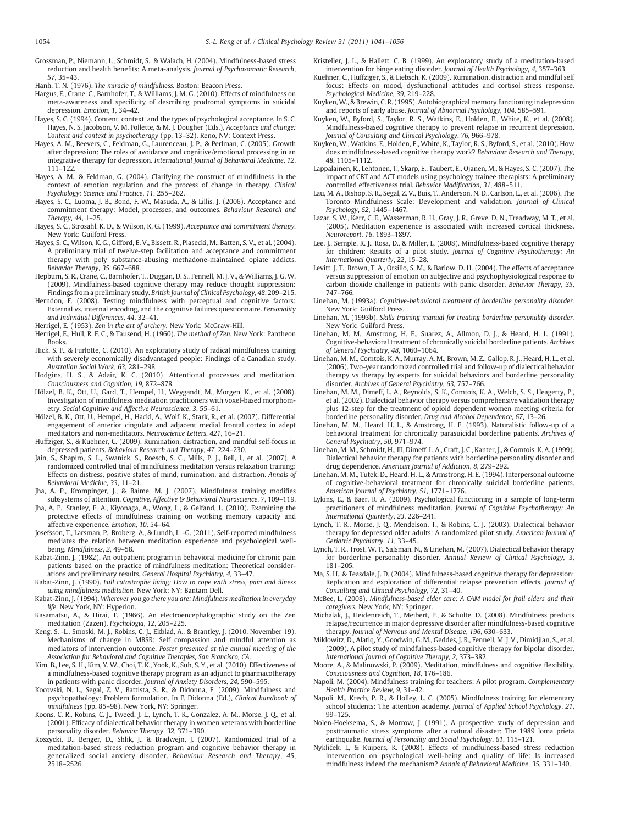<span id="page-13-0"></span>Grossman, P., Niemann, L., Schmidt, S., & Walach, H. (2004). Mindfulness-based stress reduction and health benefits: A meta-analysis. Journal of Psychosomatic Research, 57, 35–43.

Hanh, T. N. (1976). The miracle of mindfulness. Boston: Beacon Press.

- Hargus, E., Crane, C., Barnhofer, T., & Williams, J. M. G. (2010). Effects of mindfulness on meta-awareness and specificity of describing prodromal symptoms in suicidal depression. Emotion, 1, 34-42.
- Hayes, S. C. (1994). Content, context, and the types of psychological acceptance. In S. C. Hayes, N. S. Jacobson, V. M. Follette, & M. J. Dougher (Eds.), Acceptance and change: Content and context in psychotherapy (pp. 13–32). Reno, NV: Context Press.
- Hayes, A. M., Beevers, C., Feldman, G., Laurenceau, J. P., & Perlman, C. (2005). Growth after depression: The roles of avoidance and cognitive/emotional processing in an integrative therapy for depression. International Journal of Behavioral Medicine, 12, 111–122.
- Hayes, A. M., & Feldman, G. (2004). Clarifying the construct of mindfulness in the context of emotion regulation and the process of change in therapy. Clinical
- Psychology: Science and Practice, 11, 255–262. Hayes, S. C., Luoma, J. B., Bond, F. W., Masuda, A., & Lillis, J. (2006). Acceptance and commitment therapy: Model, processes, and outcomes. Behaviour Research and Therapy, 44, 1–25.
- Hayes, S. C., Strosahl, K. D., & Wilson, K. G. (1999). Acceptance and commitment therapy. New York: Guilford Press.
- Hayes, S. C., Wilson, K. G., Gifford, E. V., Bissett, R., Piasecki, M., Batten, S. V., et al. (2004). A preliminary trial of twelve-step facilitation and acceptance and commitment therapy with poly substance-abusing methadone-maintained opiate addicts. Behavior Therapy, 35, 667–688.
- Hepburn, S. R., Crane, C., Barnhofer, T., Duggan, D. S., Fennell, M. J. V., & Williams, J. G. W. (2009). Mindfulness-based cognitive therapy may reduce thought suppression: Findings from a preliminary study. British Journal of Clinical Psychology, 48, 209–215.
- Herndon, F. (2008). Testing mindfulness with perceptual and cognitive factors: External vs. internal encoding, and the cognitive failures questionnaire. Personality and Individual Differences, 44, 32–41.
- Herrigel, E. (1953). Zen in the art of archery. New York: McGraw-Hill.
- Herrigel, E., Hull, R. F. C., & Tausend, H. (1960). The method of Zen. New York: Pantheon Books.
- Hick, S. F., & Furlotte, C. (2010). An exploratory study of radical mindfulness training with severely economically disadvantaged people: Findings of a Canadian study. Australian Social Work, 63, 281–298.
- Hodgins, H. S., & Adair, K. C. (2010). Attentional processes and meditation. Consciousness and Cognition, 19, 872–878.
- Hölzel, B. K., Ott, U., Gard, T., Hempel, H., Weygandt, M., Morgen, K., et al. (2008). Investigation of mindfulness meditation practitioners with voxel-based morphometry. Social Cognitive and Affective Neuroscience, 3, 55–61.
- Hölzel, B. K., Ott, U., Hempel, H., Hackl, A., Wolf, K., Stark, R., et al. (2007). Differential engagement of anterior cingulate and adjacent medial frontal cortex in adept meditators and non-meditators. Neuroscience Letters, 421, 16–21.
- Huffziger, S., & Kuehner, C. (2009). Rumination, distraction, and mindful self-focus in depressed patients. Behaviour Research and Therapy, 47, 224–230.
- Jain, S., Shapiro, S. L., Swanick, S., Roesch, S. C., Mills, P. J., Bell, I., et al. (2007). A randomized controlled trial of mindfulness meditation versus relaxation training: Effects on distress, positive states of mind, rumination, and distraction. Annals of Behavioral Medicine, 33, 11–21.
- Jha, A. P., Krompinger, J., & Baime, M. J. (2007). Mindfulness training modifies subsystems of attention. Cognitive, Affective & Behavioral Neuroscience, 7, 109-119.
- Jha, A. P., Stanley, E. A., Kiyonaga, A., Wong, L., & Gelfand, L. (2010). Examining the protective effects of mindfulness training on working memory capacity and affective experience. Emotion, 10, 54–64.
- Josefsson, T., Larsman, P., Broberg, A., & Lundh, L. -G. (2011). Self-reported mindfulness mediates the relation between meditation experience and psychological wellbeing. Mindfulness, 2, 49–58.
- Kabat-Zinn, J. (1982). An outpatient program in behavioral medicine for chronic pain patients based on the practice of mindfulness meditation: Theoretical considerations and preliminary results. General Hospital Psychiatry, 4, 33–47.
- Kabat-Zinn, J. (1990). Full catastrophe living: How to cope with stress, pain and illness using mindfulness meditation. New York: NY: Bantam Dell.
- Kabat-Zinn, J. (1994). Wherever you go there you are: Mindfulness meditation in everyday life. New York, NY: Hyperion.
- Kasamatsu, A., & Hirai, T. (1966). An electroencephalographic study on the Zen meditation (Zazen). Psychologia, 12, 205–225.
- Keng, S. -L., Smoski, M. J., Robins, C. J., Ekblad, A., & Brantley, J. (2010, November 19). Mechanisms of change in MBSR: Self compassion and mindful attention as mediators of intervention outcome. Poster presented at the annual meeting of the Association for Behavioral and Cognitive Therapies, San Francisco, CA.
- Kim, B., Lee, S. H., Kim, Y. W., Choi, T. K., Yook, K., Suh, S. Y., et al. (2010). Effectiveness of a mindfulness-based cognitive therapy program as an adjunct to pharmacotherapy in patients with panic disorder. Journal of Anxiety Disorders, 24, 590–595.
- Kocovski, N. L., Segal, Z. V., Battista, S. R., & Didonna, F. (2009). Mindfulness and psychopathology: Problem formulation. In F. Didonna (Ed.), Clinical handbook of mindfulness (pp. 85–98). New York, NY: Springer.
- Koons, C. R., Robins, C. J., Tweed, J. L., Lynch, T. R., Gonzalez, A. M., Morse, J. Q., et al. (2001). Efficacy of dialectical behavior therapy in women veterans with borderline personality disorder. Behavior Therapy, 32, 371–390.
- Koszycki, D., Benger, D., Shlik, J., & Bradwejn, J. (2007). Randomized trial of a meditation-based stress reduction program and cognitive behavior therapy in generalized social anxiety disorder. Behaviour Research and Therapy, 45, 2518–2526.
- Kristeller, J. L., & Hallett, C. B. (1999). An exploratory study of a meditation-based intervention for binge eating disorder. Journal of Health Psychology, 4, 357–363.
- Kuehner, C., Huffziger, S., & Liebsch, K. (2009). Rumination, distraction and mindful self focus: Effects on mood, dysfunctional attitudes and cortisol stress response. Psychological Medicine, 39, 219–228.
- Kuyken, W., & Brewin, C. R. (1995). Autobiographical memory functioning in depression and reports of early abuse. Journal of Abnormal Psychology, 104, 585–591.
- Kuyken, W., Byford, S., Taylor, R. S., Watkins, E., Holden, E., White, K., et al. (2008). Mindfulness-based cognitive therapy to prevent relapse in recurrent depression. Journal of Consulting and Clinical Psychology, 76, 966–978.
- Kuyken, W., Watkins, E., Holden, E., White, K., Taylor, R. S., Byford, S., et al. (2010). How does mindfulness-based cognitive therapy work? Behaviour Research and Therapy, 48, 1105–1112.
- Lappalainen, R., Lehtonen, T., Skarp, E., Taubert, E., Ojanen, M., & Hayes, S. C. (2007). The impact of CBT and ACT models using psychology trainee therapists: A preliminary controlled effectiveness trial. Behavior Modification, 31, 488–511.
- Lau, M. A., Bishop, S. R., Segal, Z. V., Buis, T., Anderson, N. D., Carlson, L., et al. (2006). The Toronto Mindfulness Scale: Development and validation. Journal of Clinical Psychology, 62, 1445–1467.
- Lazar, S. W., Kerr, C. E., Wasserman, R. H., Gray, J. R., Greve, D. N., Treadway, M. T., et al. (2005). Meditation experience is associated with increased cortical thickness. Neuroreport, 16, 1893–1897.
- Lee, J., Semple, R. J., Rosa, D., & Miller, L. (2008). Mindfulness-based cognitive therapy for children: Results of a pilot study. Journal of Cognitive Psychotherapy: An International Quarterly, 22, 15–28.
- Levitt, J. T., Brown, T. A., Orsillo, S. M., & Barlow, D. H. (2004). The effects of acceptance versus suppression of emotion on subjective and psychophysiological response to carbon dioxide challenge in patients with panic disorder. Behavior Therapy, 35, 747–766.
- Linehan, M. (1993a). Cognitive-behavioral treatment of borderline personality disorder. New York: Guilford Press.
- Linehan, M. (1993b). Skills training manual for treating borderline personality disorder. New York: Guilford Press.
- Linehan, M. M., Amstrong, H. E., Suarez, A., Allmon, D. J., & Heard, H. L. (1991). Cognitive-behavioral treatment of chronically suicidal borderline patients. Archives of General Psychiatry, 48, 1060–1064.
- Linehan, M. M., Comtois, K. A., Murray, A. M., Brown, M. Z., Gallop, R. J., Heard, H. L., et al. (2006). Two-year randomized controlled trial and follow-up of dialectical behavior therapy vs therapy by experts for suicidal behaviors and borderline personality disorder. Archives of General Psychiatry, 63, 757–766.
- Linehan, M. M., Dimeff, L. A., Reynolds, S. K., Comtois, K. A., Welch, S. S., Heagerty, P., et al. (2002). Dialectical behavior therapy versus comprehensive validation therapy plus 12-step for the treatment of opioid dependent women meeting criteria for borderline personality disorder. Drug and Alcohol Dependence, 67, 13–26.
- Linehan, M. M., Heard, H. L., & Amstrong, H. E. (1993). Naturalistic follow-up of a behavioral treatment for chronically parasuicidal borderline patients. Archives of General Psychiatry, 50, 971–974.
- Linehan, M. M., Schmidt, H., III, Dimeff, L. A., Craft, J. C., Kanter, J., & Comtois, K. A. (1999). Dialectical behavior therapy for patients with borderline personality disorder and drug dependence. American Journal of Addiction, 8, 279–292.
- Linehan, M. M., Tutek, D., Heard, H. L., & Armstrong, H. E. (1994). Interpersonal outcome of cognitive-behavioral treatment for chronically suicidal borderline patients. American Journal of Psychiatry, 51, 1771–1776.
- Lykins, E., & Baer, R. A. (2009). Psychological functioning in a sample of long-term practitioners of mindfulness meditation. Journal of Cognitive Psychotherapy: An International Quarterly, 23, 226–241.
- Lynch, T. R., Morse, J. Q., Mendelson, T., & Robins, C. J. (2003). Dialectical behavior therapy for depressed older adults: A randomized pilot study. American Journal of Geriatric Psychiatry, 11, 33–45.
- Lynch, T. R., Trost, W. T., Salsman, N., & Linehan, M. (2007). Dialectical behavior therapy for borderline personality disorder. Annual Review of Clinical Psychology, 3, 181–205.
- Ma, S. H., & Teasdale, J. D. (2004). Mindfulness-based cognitive therapy for depression: Replication and exploration of differential relapse prevention effects. Journal of Consulting and Clinical Psychology, 72, 31–40.
- McBee, L. (2008). Mindfulness-based elder care: A CAM model for frail elders and their caregivers. New York, NY: Springer.
- Michalak, J., Heidenreich, T., Meibert, P., & Schulte, D. (2008). Mindfulness predicts relapse/recurrence in major depressive disorder after mindfulness-based cognitive therapy. Journal of Nervous and Mental Disease, 196, 630–633.
- Miklowitz, D., Alatiq, Y., Goodwin, G. M., Geddes, J. R., Fennell, M. J. V., Dimidjian, S., et al. (2009). A pilot study of mindfulness-based cognitive therapy for bipolar disorder. International Journal of Cognitive Therapy, 2, 373–382.
- Moore, A., & Malinowski, P. (2009). Meditation, mindfulness and cognitive flexibility. Consciousness and Cognition, 18, 176–186.
- Napoli, M. (2004). Mindfulness training for teachers: A pilot program. Complementary Health Practice Review, 9, 31–42.
- Napoli, M., Krech, P. R., & Holley, L. C. (2005). Mindfulness training for elementary school students: The attention academy. Journal of Applied School Psychology, 21, 99–125.
- Nolen-Hoeksema, S., & Morrow, J. (1991). A prospective study of depression and posttraumatic stress symptoms after a natural disaster: The 1989 loma prieta earthquake. Journal of Personality and Social Psychology, 61, 115–121.
- Nyklíček, I., & Kuipers, K. (2008). Effects of mindfulness-based stress reduction intervention on psychological well-being and quality of life: Is increased mindfulness indeed the mechanism? Annals of Behavioral Medicine, 35, 331–340.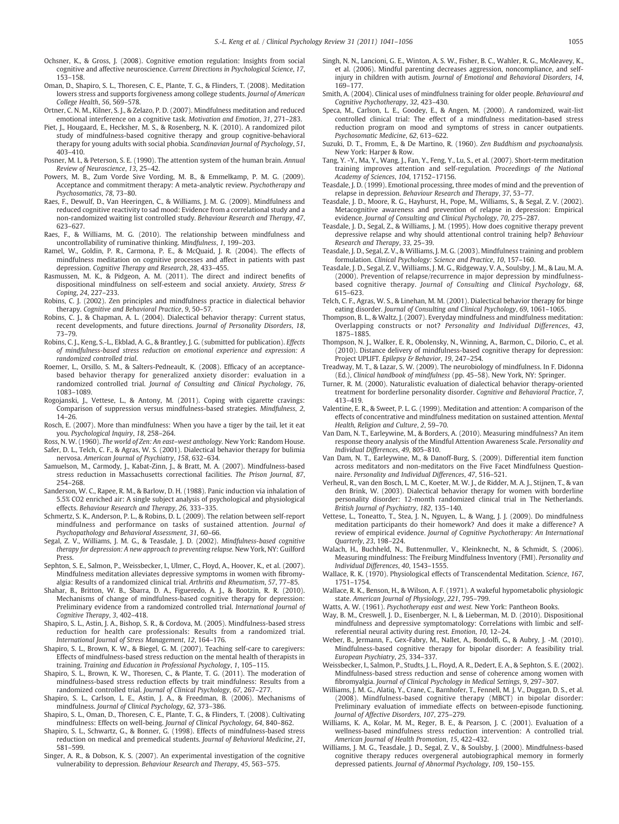- <span id="page-14-0"></span>Ochsner, K., & Gross, J. (2008). Cognitive emotion regulation: Insights from social cognitive and affective neuroscience. Current Directions in Psychological Science, 17, 153–158.
- Oman, D., Shapiro, S. L., Thoresen, C. E., Plante, T. G., & Flinders, T. (2008). Meditation lowers stress and supports forgiveness among college students. Journal of American College Health, 56, 569–578.
- Ortner, C. N. M., Kilner, S. J., & Zelazo, P. D. (2007). Mindfulness meditation and reduced emotional interference on a cognitive task. Motivation and Emotion, 31, 271–283.
- Piet, J., Hougaard, E., Hecksher, M. S., & Rosenberg, N. K. (2010). A randomized pilot study of mindfulness-based cognitive therapy and group cognitive-behavioral therapy for young adults with social phobia. Scandinavian Journal of Psychology, 51, 403–410.
- Posner, M. I., & Peterson, S. E. (1990). The attention system of the human brain. Annual Review of Neuroscience, 13, 25–42.
- Powers, M. B., Zum Vorde Sive Vording, M. B., & Emmelkamp, P. M. G. (2009). Acceptance and commitment therapy: A meta-analytic review. Psychotherapy and Psychosomatics, 78, 73–80.
- Raes, F., Dewulf, D., Van Heeringen, C., & Williams, J. M. G. (2009). Mindfulness and reduced cognitive reactivity to sad mood: Evidence from a correlational study and a non-randomized waiting list controlled study. Behaviour Research and Therapy, 47, 623–627.
- Raes, F., & Williams, M. G. (2010). The relationship between mindfulness and uncontrollability of ruminative thinking. Mindfulness, 1, 199–203.
- Ramel, W., Goldin, P. R., Carmona, P. E., & McQuaid, J. R. (2004). The effects of mindfulness meditation on cognitive processes and affect in patients with past depression. Cognitive Therapy and Research, 28, 433–455.
- Rasmussen, M. K., & Pidgeon, A. M. (2011). The direct and indirect benefits of dispositional mindfulness on self-esteem and social anxiety. Anxiety, Stress & Coping, 24, 227–233.
- Robins, C. J. (2002). Zen principles and mindfulness practice in dialectical behavior therapy. Cognitive and Behavioral Practice, 9, 50–57.
- Robins, C. J., & Chapman, A. L. (2004). Dialectical behavior therapy: Current status, recent developments, and future directions. Journal of Personality Disorders, 18, 73–79.
- Robins, C. J., Keng, S.-L., Ekblad, A. G., & Brantley, J. G. (submitted for publication). Effects of mindfulness-based stress reduction on emotional experience and expression: A randomized controlled trial.
- Roemer, L., Orsillo, S. M., & Salters-Pedneault, K. (2008). Efficacy of an acceptancebased behavior therapy for generalized anxiety disorder: evaluation in a randomized controlled trial. Journal of Consulting and Clinical Psychology, 76, 1083–1089.
- Rogojanski, J., Vettese, L., & Antony, M. (2011). Coping with cigarette cravings: Comparison of suppression versus mindfulness-based strategies. Mindfulness, 2, 14–26.
- Rosch, E. (2007). More than mindfulness: When you have a tiger by the tail, let it eat you. Psychological Inquiry, 18, 258–264.
- Ross, N. W. (1960). The world of Zen: An east–west anthology. New York: Random House. Safer, D. L., Telch, C. F., & Agras, W. S. (2001). Dialectical behavior therapy for bulimia nervosa. American Journal of Psychiatry, 158, 632–634.
- Samuelson, M., Carmody, J., Kabat-Zinn, J., & Bratt, M. A. (2007). Mindfulness-based stress reduction in Massachusetts correctional facilities. The Prison Journal, 87, 254–268.
- Sanderson, W. C., Rapee, R. M., & Barlow, D. H. (1988). Panic induction via inhalation of 5.5% CO2 enriched air: A single subject analysis of psychological and physiological effects. Behaviour Research and Therapy, 26, 333–335.
- Schmertz, S. K., Anderson, P. L., & Robins, D. L. (2009). The relation between self-report mindfulness and performance on tasks of sustained attention. Journal of Psychopathology and Behavioral Assessment, 31, 60–66.
- Segal, Z. V., Williams, J. M. G., & Teasdale, J. D. (2002). Mindfulness-based cognitive therapy for depression: A new approach to preventing relapse. New York, NY: Guilford Press.
- Sephton, S. E., Salmon, P., Weissbecker, I., Ulmer, C., Floyd, A., Hoover, K., et al. (2007). Mindfulness meditation alleviates depressive symptoms in women with fibromyalgia: Results of a randomized clinical trial. Arthritis and Rheumatism, 57, 77–85.
- Shahar, B., Britton, W. B., Sbarra, D. A., Figueredo, A. J., & Bootzin, R. R. (2010). Mechanisms of change of mindfulness-based cognitive therapy for depression: Preliminary evidence from a randomized controlled trial. International Journal of Cognitive Therapy, 3, 402–418.
- Shapiro, S. L., Astin, J. A., Bishop, S. R., & Cordova, M. (2005). Mindfulness-based stress reduction for health care professionals: Results from a randomized trial. International Journal of Stress Management, 12, 164–176.
- Shapiro, S. L., Brown, K. W., & Biegel, G. M. (2007). Teaching self-care to caregivers: Effects of mindfulness-based stress reduction on the mental health of therapists in training. Training and Education in Professional Psychology, 1, 105–115.
- Shapiro, S. L., Brown, K. W., Thoresen, C., & Plante, T. G. (2011). The moderation of mindfulness-based stress reduction effects by trait mindfulness: Results from a randomized controlled trial. Journal of Clinical Psychology, 67, 267–277.
- Shapiro, S. L., Carlson, L. E., Astin, J. A., & Freedman, B. (2006). Mechanisms of mindfulness. Journal of Clinical Psychology, 62, 373–386.
- Shapiro, S. L., Oman, D., Thoresen, C. E., Plante, T. G., & Flinders, T. (2008). Cultivating mindfulness: Effects on well-being. Journal of Clinical Psychology, 64, 840–862.
- Shapiro, S. L., Schwartz, G., & Bonner, G. (1998). Effects of mindfulness-based stress reduction on medical and premedical students. Journal of Behavioral Medicine, 21, 581–599.
- Singer, A. R., & Dobson, K. S. (2007). An experimental investigation of the cognitive vulnerability to depression. Behaviour Research and Therapy, 45, 563–575.
- Singh, N. N., Lancioni, G. E., Winton, A. S. W., Fisher, B. C., Wahler, R. G., McAleavey, K., et al. (2006). Mindful parenting decreases aggression, noncompliance, and selfinjury in children with autism. Journal of Emotional and Behavioral Disorders, 14, 169–177.
- Smith, A. (2004). Clinical uses of mindfulness training for older people. Behavioural and Cognitive Psychotherapy, 32, 423–430.
- Speca, M., Carlson, L. E., Goodey, E., & Angen, M. (2000). A randomized, wait-list controlled clinical trial: The effect of a mindfulness meditation-based stress reduction program on mood and symptoms of stress in cancer outpatients. Psychosomatic Medicine, 62, 613–622.
- Suzuki, D. T., Fromm, E., & De Martino, R. (1960). Zen Buddhism and psychoanalysis. New York: Harper & Row.
- Tang, Y. -Y., Ma, Y., Wang, J., Fan, Y., Feng, Y., Lu, S., et al. (2007). Short-term meditation training improves attention and self-regulation. Proceedings of the National Academy of Sciences, 104, 17152–17156.
- Teasdale, J. D. (1999). Emotional processing, three modes of mind and the prevention of relapse in depression. Behaviour Research and Therapy, 37, 53–77.
- Teasdale, J. D., Moore, R. G., Hayhurst, H., Pope, M., Williams, S., & Segal, Z. V. (2002). Metacognitive awareness and prevention of relapse in depression: Empirical evidence. Journal of Consulting and Clinical Psychology, 70, 275–287.
- Teasdale, J. D., Segal, Z., & Williams, J. M. (1995). How does cognitive therapy prevent depressive relapse and why should attentional control training help? Behaviour Research and Therapy, 33, 25–39.
- Teasdale, J. D., Segal, Z. V., & Williams, J. M. G. (2003). Mindfulness training and problem formulation. Clinical Psychology: Science and Practice, 10, 157–160.
- Teasdale, J. D., Segal, Z. V., Williams, J. M. G., Ridgeway, V. A., Soulsby, J. M., & Lau, M. A. (2000). Prevention of relapse/recurrence in major depression by mindfulnessbased cognitive therapy. Journal of Consulting and Clinical Psychology, 68, 615–623.
- Telch, C. F., Agras, W. S., & Linehan, M. M. (2001). Dialectical behavior therapy for binge eating disorder. Journal of Consulting and Clinical Psychology, 69, 1061–1065.
- Thompson, B. L., & Waltz, J. (2007). Everyday mindfulness and mindfulness meditation: Overlapping constructs or not? Personality and Individual Differences, 43, 1875–1885.
- Thompson, N. J., Walker, E. R., Obolensky, N., Winning, A., Barmon, C., Dilorio, C., et al. (2010). Distance delivery of mindfulness-based cognitive therapy for depression: Project UPLIFT. Epilepsy & Behavior, 19, 247-254.
- Treadway, M. T., & Lazar, S. W. (2009). The neurobiology of mindfulness. In F. Didonna (Ed.), Clinical handbook of mindfulness (pp. 45–58). New York, NY: Springer.
- Turner, R. M. (2000). Naturalistic evaluation of dialectical behavior therapy-oriented treatment for borderline personality disorder. Cognitive and Behavioral Practice, 7, 413–419.
- Valentine, E. R., & Sweet, P. L. G. (1999). Meditation and attention: A comparison of the effects of concentrative and mindfulness meditation on sustained attention. Mental Health, Religion and Culture, 2, 59–70.
- Van Dam, N. T., Earleywine, M., & Borders, A. (2010). Measuring mindfulness? An item response theory analysis of the Mindful Attention Awareness Scale. Personality and Individual Differences, 49, 805–810.
- Van Dam, N. T., Earleywine, M., & Danoff-Burg, S. (2009). Differential item function across meditators and non-meditators on the Five Facet Mindfulness Questionnaire. Personality and Individual Differences, 47, 516–521.
- Verheul, R., van den Bosch, L. M. C., Koeter, M. W. J., de Ridder, M. A. J., Stijnen, T., & van den Brink, W. (2003). Dialectical behavior therapy for women with borderline personality disorder: 12-month randomized clinical trial in The Netherlands. British Journal of Psychiatry, 182, 135–140.
- Vettese, L., Toneatto, T., Stea, J. N., Nguyen, L., & Wang, J. J. (2009). Do mindfulness meditation participants do their homework? And does it make a difference? A review of empirical evidence. Journal of Cognitive Psychotherapy: An International Quarterly, 23, 198–224.
- Walach, H., Buchheld, N., Buttenmuller, V., Kleinknecht, N., & Schmidt, S. (2006). Measuring mindfulness: The Freiburg Mindfulness Inventory (FMI). Personality and Individual Differences, 40, 1543–1555.
- Wallace, R. K. (1970). Physiological effects of Transcendental Meditation. Science, 167, 1751–1754.
- Wallace, R. K., Benson, H., & Wilson, A. F. (1971). A wakeful hypometabolic physiologic state. American Journal of Physiology, 221, 795–799.
- Watts, A. W. (1961). Psychotherapy east and west. New York: Pantheon Books.
- Way, B. M., Creswell, J. D., Eisenberger, N. I., & Lieberman, M. D. (2010). Dispositional mindfulness and depressive symptomatology: Correlations with limbic and selfreferential neural activity during rest. Emotion, 10, 12–24.
- Weber, B., Jermann, F., Gex-Fabry, M., Nallet, A., Bondolfi, G., & Aubry, J. -M. (2010). Mindfulness-based cognitive therapy for bipolar disorder: A feasibility trial. European Psychiatry, 25, 334–337.
- Weissbecker, I., Salmon, P., Studts, J. L., Floyd, A. R., Dedert, E. A., & Sephton, S. E. (2002). Mindfulness-based stress reduction and sense of coherence among women with fibromyalgia. Journal of Clinical Psychology in Medical Settings, 9, 297–307.
- Williams, J. M. G., Alatiq, Y., Crane, C., Barnhofer, T., Fennell, M. J. V., Duggan, D. S., et al. (2008). Mindfulness-based cognitive therapy (MBCT) in bipolar disorder: Preliminary evaluation of immediate effects on between-episode functioning. Journal of Affective Disorders, 107, 275–279.
- Williams, K. A., Kolar, M. M., Reger, B. E., & Pearson, J. C. (2001). Evaluation of a wellness-based mindfulness stress reduction intervention: A controlled trial. American Journal of Health Promotion, 15, 422–432.
- Williams, J. M. G., Teasdale, J. D., Segal, Z. V., & Soulsby, J. (2000). Mindfulness-based cognitive therapy reduces overgeneral autobiographical memory in formerly depressed patients. Journal of Abnormal Psychology, 109, 150–155.